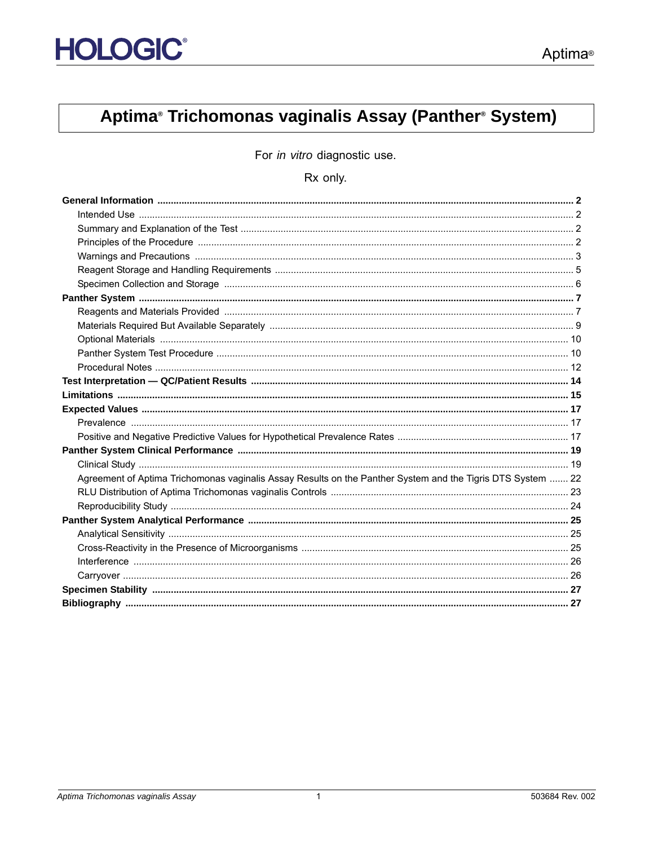# Aptima® Trichomonas vaginalis Assay (Panther® System)

For in vitro diagnostic use.

### Rx only.

| Agreement of Aptima Trichomonas vaginalis Assay Results on the Panther System and the Tigris DTS System  22 |  |
|-------------------------------------------------------------------------------------------------------------|--|
|                                                                                                             |  |
|                                                                                                             |  |
|                                                                                                             |  |
|                                                                                                             |  |
|                                                                                                             |  |
|                                                                                                             |  |
|                                                                                                             |  |
|                                                                                                             |  |
|                                                                                                             |  |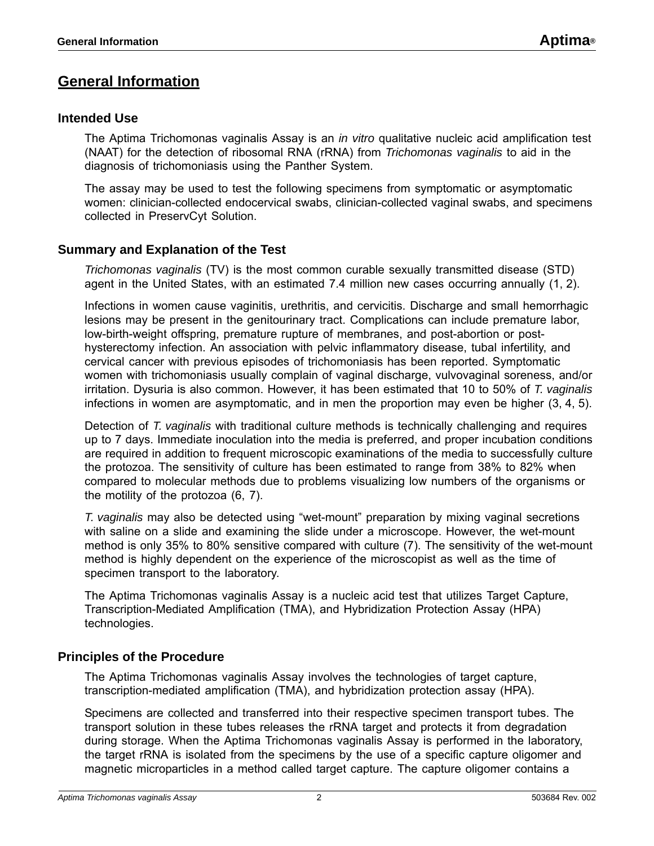## <span id="page-1-0"></span>**General Information**

### <span id="page-1-1"></span>**Intended Use**

The Aptima Trichomonas vaginalis Assay is an *in vitro* qualitative nucleic acid amplification test (NAAT) for the detection of ribosomal RNA (rRNA) from *Trichomonas vaginalis* to aid in the diagnosis of trichomoniasis using the Panther System.

The assay may be used to test the following specimens from symptomatic or asymptomatic women: clinician-collected endocervical swabs, clinician-collected vaginal swabs, and specimens collected in PreservCyt Solution.

### <span id="page-1-2"></span>**Summary and Explanation of the Test**

*Trichomonas vaginalis* (TV) is the most common curable sexually transmitted disease (STD) agent in the United States, with an estimated 7.4 million new cases occurring annually [\(1](#page-26-2), [2](#page-26-3)).

Infections in women cause vaginitis, urethritis, and cervicitis. Discharge and small hemorrhagic lesions may be present in the genitourinary tract. Complications can include premature labor, low-birth-weight offspring, premature rupture of membranes, and post-abortion or posthysterectomy infection. An association with pelvic inflammatory disease, tubal infertility, and cervical cancer with previous episodes of trichomoniasis has been reported. Symptomatic women with trichomoniasis usually complain of vaginal discharge, vulvovaginal soreness, and/or irritation. Dysuria is also common. However, it has been estimated that 10 to 50% of *T. vaginalis*  infections in women are asymptomatic, and in men the proportion may even be higher [\(3](#page-26-4), [4,](#page-26-5) [5\)](#page-26-6).

Detection of *T. vaginalis* with traditional culture methods is technically challenging and requires up to 7 days. Immediate inoculation into the media is preferred, and proper incubation conditions are required in addition to frequent microscopic examinations of the media to successfully culture the protozoa. The sensitivity of culture has been estimated to range from 38% to 82% when compared to molecular methods due to problems visualizing low numbers of the organisms or the motility of the protozoa [\(6](#page-26-7), [7\)](#page-26-8).

*T. vaginalis* may also be detected using "wet-mount" preparation by mixing vaginal secretions with saline on a slide and examining the slide under a microscope. However, the wet-mount method is only 35% to 80% sensitive compared with culture [\(7\)](#page-26-8). The sensitivity of the wet-mount method is highly dependent on the experience of the microscopist as well as the time of specimen transport to the laboratory.

The Aptima Trichomonas vaginalis Assay is a nucleic acid test that utilizes Target Capture, Transcription-Mediated Amplification (TMA), and Hybridization Protection Assay (HPA) technologies.

### <span id="page-1-3"></span>**Principles of the Procedure**

The Aptima Trichomonas vaginalis Assay involves the technologies of target capture, transcription-mediated amplification (TMA), and hybridization protection assay (HPA).

Specimens are collected and transferred into their respective specimen transport tubes. The transport solution in these tubes releases the rRNA target and protects it from degradation during storage. When the Aptima Trichomonas vaginalis Assay is performed in the laboratory, the target rRNA is isolated from the specimens by the use of a specific capture oligomer and magnetic microparticles in a method called target capture. The capture oligomer contains a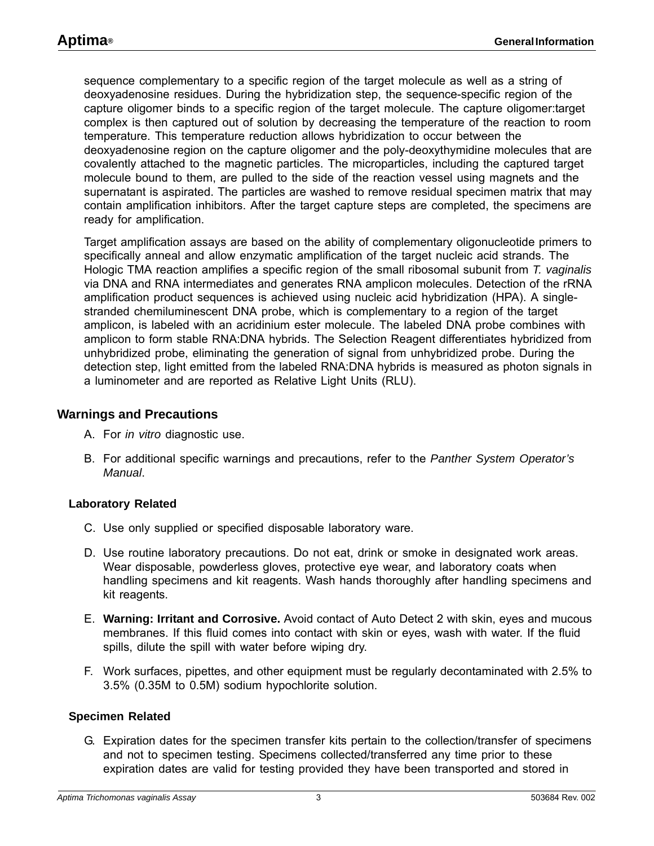sequence complementary to a specific region of the target molecule as well as a string of deoxyadenosine residues. During the hybridization step, the sequence-specific region of the capture oligomer binds to a specific region of the target molecule. The capture oligomer:target complex is then captured out of solution by decreasing the temperature of the reaction to room temperature. This temperature reduction allows hybridization to occur between the deoxyadenosine region on the capture oligomer and the poly-deoxythymidine molecules that are covalently attached to the magnetic particles. The microparticles, including the captured target molecule bound to them, are pulled to the side of the reaction vessel using magnets and the supernatant is aspirated. The particles are washed to remove residual specimen matrix that may contain amplification inhibitors. After the target capture steps are completed, the specimens are ready for amplification.

Target amplification assays are based on the ability of complementary oligonucleotide primers to specifically anneal and allow enzymatic amplification of the target nucleic acid strands. The Hologic TMA reaction amplifies a specific region of the small ribosomal subunit from *T. vaginalis* via DNA and RNA intermediates and generates RNA amplicon molecules. Detection of the rRNA amplification product sequences is achieved using nucleic acid hybridization (HPA). A singlestranded chemiluminescent DNA probe, which is complementary to a region of the target amplicon, is labeled with an acridinium ester molecule. The labeled DNA probe combines with amplicon to form stable RNA:DNA hybrids. The Selection Reagent differentiates hybridized from unhybridized probe, eliminating the generation of signal from unhybridized probe. During the detection step, light emitted from the labeled RNA:DNA hybrids is measured as photon signals in a luminometer and are reported as Relative Light Units (RLU).

### <span id="page-2-0"></span>**Warnings and Precautions**

- A. For *in vitro* diagnostic use.
- B. For additional specific warnings and precautions, refer to the *Panther System Operator's Manual*.

#### **Laboratory Related**

- C. Use only supplied or specified disposable laboratory ware.
- D. Use routine laboratory precautions. Do not eat, drink or smoke in designated work areas. Wear disposable, powderless gloves, protective eye wear, and laboratory coats when handling specimens and kit reagents. Wash hands thoroughly after handling specimens and kit reagents.
- E. **Warning: Irritant and Corrosive.** Avoid contact of Auto Detect 2 with skin, eyes and mucous membranes. If this fluid comes into contact with skin or eyes, wash with water. If the fluid spills, dilute the spill with water before wiping dry.
- F. Work surfaces, pipettes, and other equipment must be regularly decontaminated with 2.5% to 3.5% (0.35M to 0.5M) sodium hypochlorite solution.

#### **Specimen Related**

G. Expiration dates for the specimen transfer kits pertain to the collection/transfer of specimens and not to specimen testing. Specimens collected/transferred any time prior to these expiration dates are valid for testing provided they have been transported and stored in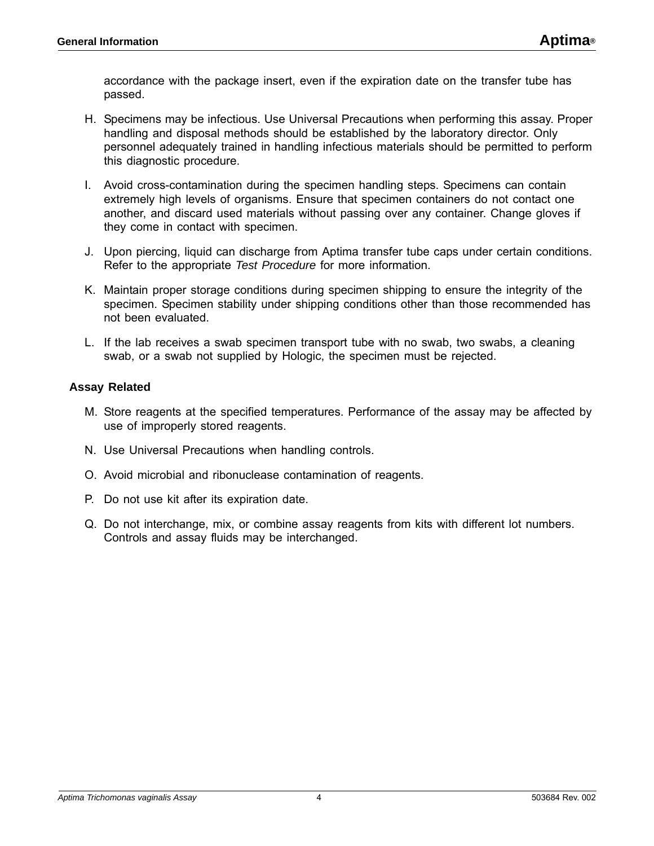accordance with the package insert, even if the expiration date on the transfer tube has passed.

- H. Specimens may be infectious. Use Universal Precautions when performing this assay. Proper handling and disposal methods should be established by the laboratory director. Only personnel adequately trained in handling infectious materials should be permitted to perform this diagnostic procedure.
- I. Avoid cross-contamination during the specimen handling steps. Specimens can contain extremely high levels of organisms. Ensure that specimen containers do not contact one another, and discard used materials without passing over any container. Change gloves if they come in contact with specimen.
- J. Upon piercing, liquid can discharge from Aptima transfer tube caps under certain conditions. Refer to the appropriate *Test Procedure* for more information.
- K. Maintain proper storage conditions during specimen shipping to ensure the integrity of the specimen. Specimen stability under shipping conditions other than those recommended has not been evaluated.
- L. If the lab receives a swab specimen transport tube with no swab, two swabs, a cleaning swab, or a swab not supplied by Hologic, the specimen must be rejected.

#### **Assay Related**

- M. Store reagents at the specified temperatures. Performance of the assay may be affected by use of improperly stored reagents.
- N. Use Universal Precautions when handling controls.
- O. Avoid microbial and ribonuclease contamination of reagents.
- P. Do not use kit after its expiration date.
- Q. Do not interchange, mix, or combine assay reagents from kits with different lot numbers. Controls and assay fluids may be interchanged.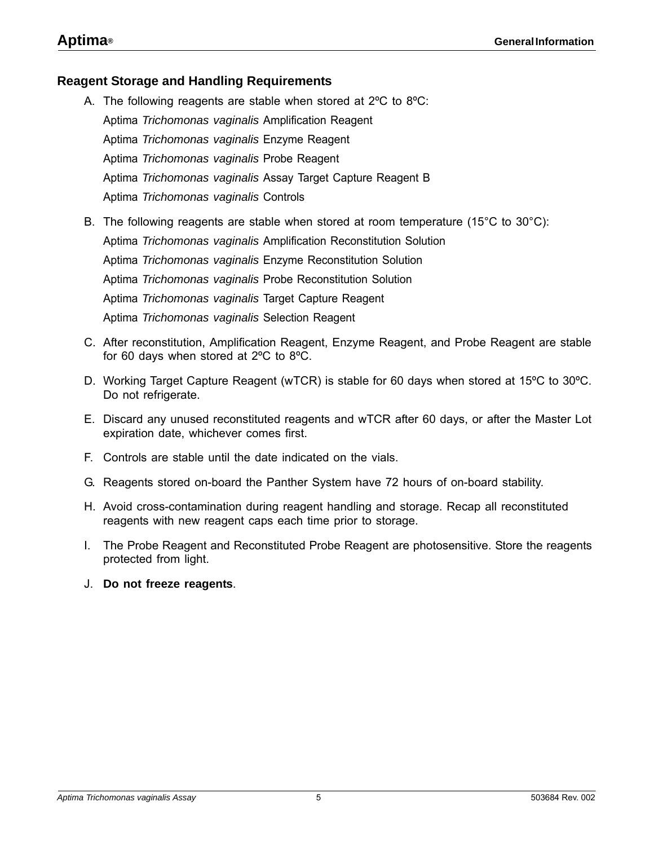### <span id="page-4-0"></span>**Reagent Storage and Handling Requirements**

- A. The following reagents are stable when stored at 2ºC to 8ºC: Aptima *Trichomonas vaginalis* Amplification Reagent Aptima *Trichomonas vaginalis* Enzyme Reagent Aptima *Trichomonas vaginalis* Probe Reagent Aptima *Trichomonas vaginalis* Assay Target Capture Reagent B Aptima *Trichomonas vaginalis* Controls
- B. The following reagents are stable when stored at room temperature (15°C to 30°C): Aptima *Trichomonas vaginalis* Amplification Reconstitution Solution Aptima *Trichomonas vaginalis* Enzyme Reconstitution Solution Aptima *Trichomonas vaginalis* Probe Reconstitution Solution Aptima *Trichomonas vaginalis* Target Capture Reagent Aptima *Trichomonas vaginalis* Selection Reagent
- C. After reconstitution, Amplification Reagent, Enzyme Reagent, and Probe Reagent are stable for 60 days when stored at 2ºC to 8ºC.
- D. Working Target Capture Reagent (wTCR) is stable for 60 days when stored at 15ºC to 30ºC. Do not refrigerate.
- E. Discard any unused reconstituted reagents and wTCR after 60 days, or after the Master Lot expiration date, whichever comes first.
- F. Controls are stable until the date indicated on the vials.
- G. Reagents stored on-board the Panther System have 72 hours of on-board stability.
- H. Avoid cross-contamination during reagent handling and storage. Recap all reconstituted reagents with new reagent caps each time prior to storage.
- I. The Probe Reagent and Reconstituted Probe Reagent are photosensitive. Store the reagents protected from light.
- J. **Do not freeze reagents**.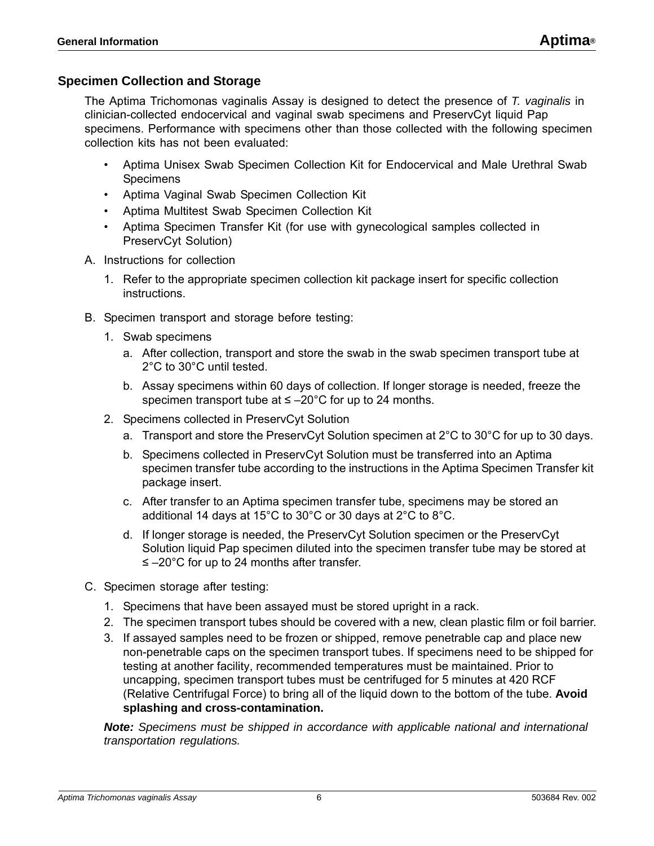### <span id="page-5-0"></span>**Specimen Collection and Storage**

The Aptima Trichomonas vaginalis Assay is designed to detect the presence of *T. vaginalis* in clinician-collected endocervical and vaginal swab specimens and PreservCyt liquid Pap specimens. Performance with specimens other than those collected with the following specimen collection kits has not been evaluated:

- Aptima Unisex Swab Specimen Collection Kit for Endocervical and Male Urethral Swab **Specimens**
- Aptima Vaginal Swab Specimen Collection Kit
- Aptima Multitest Swab Specimen Collection Kit
- Aptima Specimen Transfer Kit (for use with gynecological samples collected in PreservCyt Solution)
- A. Instructions for collection
	- 1. Refer to the appropriate specimen collection kit package insert for specific collection instructions.
- B. Specimen transport and storage before testing:
	- 1. Swab specimens
		- a. After collection, transport and store the swab in the swab specimen transport tube at 2°C to 30°C until tested.
		- b. Assay specimens within 60 days of collection. If longer storage is needed, freeze the specimen transport tube at  $\leq -20^{\circ}$ C for up to 24 months.
	- 2. Specimens collected in PreservCyt Solution
		- a. Transport and store the PreservCyt Solution specimen at 2°C to 30°C for up to 30 days.
		- b. Specimens collected in PreservCyt Solution must be transferred into an Aptima specimen transfer tube according to the instructions in the Aptima Specimen Transfer kit package insert.
		- c. After transfer to an Aptima specimen transfer tube, specimens may be stored an additional 14 days at 15°C to 30°C or 30 days at 2°C to 8°C.
		- d. If longer storage is needed, the PreservCyt Solution specimen or the PreservCyt Solution liquid Pap specimen diluted into the specimen transfer tube may be stored at ≤ –20°C for up to 24 months after transfer.
- C. Specimen storage after testing:
	- 1. Specimens that have been assayed must be stored upright in a rack.
	- 2. The specimen transport tubes should be covered with a new, clean plastic film or foil barrier.
	- 3. If assayed samples need to be frozen or shipped, remove penetrable cap and place new non-penetrable caps on the specimen transport tubes. If specimens need to be shipped for testing at another facility, recommended temperatures must be maintained. Prior to uncapping, specimen transport tubes must be centrifuged for 5 minutes at 420 RCF (Relative Centrifugal Force) to bring all of the liquid down to the bottom of the tube. **Avoid splashing and cross-contamination.**

*Note: Specimens must be shipped in accordance with applicable national and international transportation regulations.*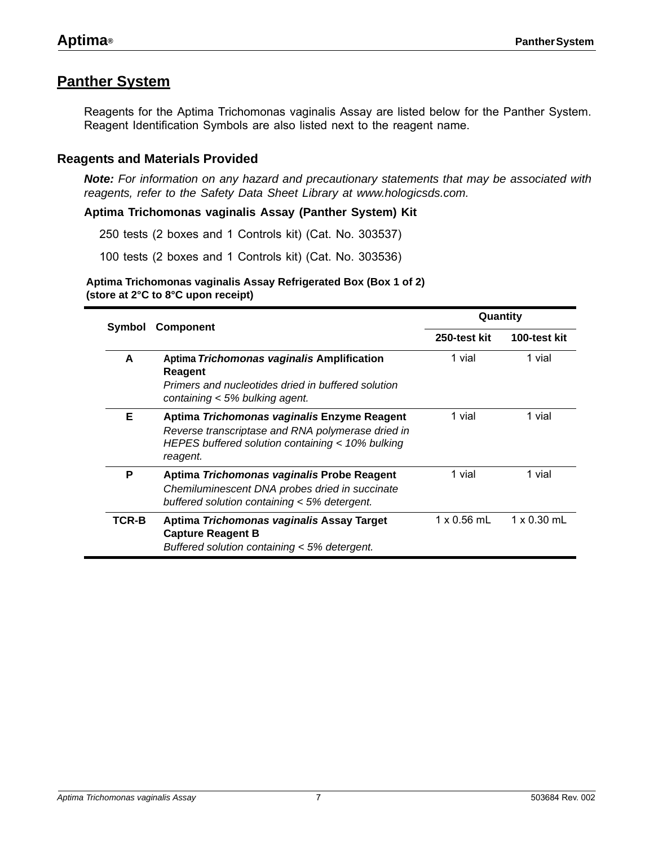### <span id="page-6-0"></span>**Panther System**

Reagents for the Aptima Trichomonas vaginalis Assay are listed below for the Panther System. Reagent Identification Symbols are also listed next to the reagent name.

### <span id="page-6-1"></span>**Reagents and Materials Provided**

*Note: For information on any hazard and precautionary statements that may be associated with reagents, refer to the Safety Data Sheet Library at www.hologicsds.com.*

**Aptima Trichomonas vaginalis Assay (Panther System) Kit**

250 tests (2 boxes and 1 Controls kit) (Cat. No. 303537)

100 tests (2 boxes and 1 Controls kit) (Cat. No. 303536)

**Aptima Trichomonas vaginalis Assay Refrigerated Box (Box 1 of 2) (store at 2°C to 8°C upon receipt)**

|        |                                                                                                                                                                  | Quantity           |                    |  |  |  |
|--------|------------------------------------------------------------------------------------------------------------------------------------------------------------------|--------------------|--------------------|--|--|--|
| Symbol | <b>Component</b>                                                                                                                                                 | 250-test kit       | 100-test kit       |  |  |  |
| A      | Aptima Trichomonas vaginalis Amplification<br>Reagent<br>Primers and nucleotides dried in buffered solution<br>containing < 5% bulking agent.                    | 1 vial             | 1 vial             |  |  |  |
| Е      | Aptima Trichomonas vaginalis Enzyme Reagent<br>Reverse transcriptase and RNA polymerase dried in<br>HEPES buffered solution containing < 10% bulking<br>reagent. | 1 vial             | 1 vial             |  |  |  |
| P      | Aptima Trichomonas vaginalis Probe Reagent<br>Chemiluminescent DNA probes dried in succinate<br>buffered solution containing < 5% detergent.                     | 1 vial             | 1 vial             |  |  |  |
| TCR-B  | Aptima Trichomonas vaginalis Assay Target<br><b>Capture Reagent B</b><br>Buffered solution containing < 5% detergent.                                            | $1 \times 0.56$ mL | $1 \times 0.30$ mL |  |  |  |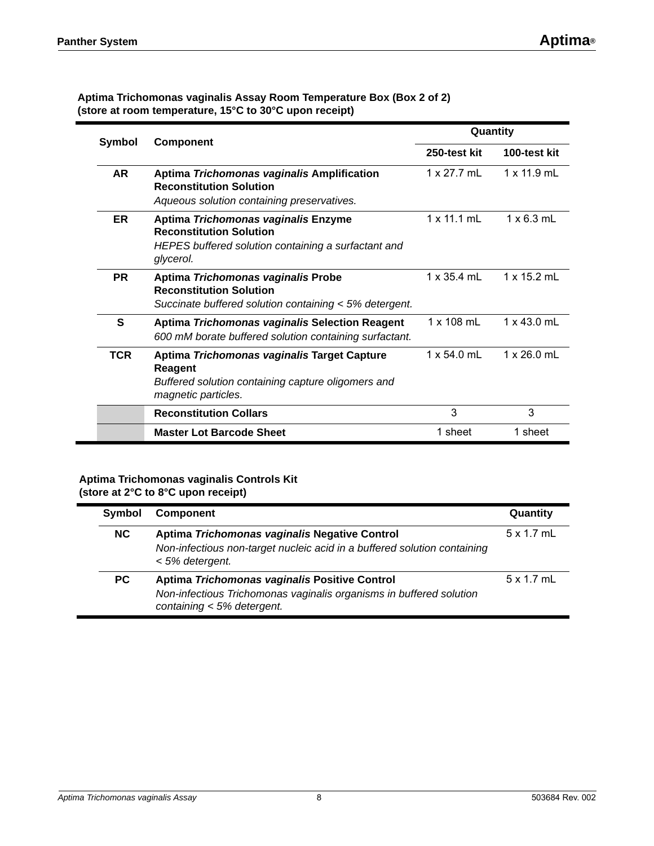| <b>Symbol</b> | <b>Component</b>                                                                                                                           | Quantity           |                    |
|---------------|--------------------------------------------------------------------------------------------------------------------------------------------|--------------------|--------------------|
|               |                                                                                                                                            | 250-test kit       | 100-test kit       |
| <b>AR</b>     | Aptima Trichomonas vaginalis Amplification<br><b>Reconstitution Solution</b><br>Aqueous solution containing preservatives.                 | $1 \times 27.7$ mL | $1 \times 11.9$ mL |
| <b>ER</b>     | Aptima Trichomonas vaginalis Enzyme<br><b>Reconstitution Solution</b><br>HEPES buffered solution containing a surfactant and<br>glycerol.  | $1 \times 11.1$ mL | $1 \times 6.3$ mL  |
| <b>PR</b>     | Aptima Trichomonas vaginalis Probe<br><b>Reconstitution Solution</b><br>Succinate buffered solution containing < 5% detergent.             | $1 \times 35.4$ mL | 1 x 15.2 mL        |
| S             | Aptima Trichomonas vaginalis Selection Reagent<br>600 mM borate buffered solution containing surfactant.                                   | $1 \times 108$ mL  | $1 \times 43.0$ mL |
| <b>TCR</b>    | Aptima Trichomonas vaginalis Target Capture<br><b>Reagent</b><br>Buffered solution containing capture oligomers and<br>magnetic particles. | $1 \times 54.0$ mL | $1 \times 26.0$ mL |
|               | <b>Reconstitution Collars</b>                                                                                                              | 3                  | 3                  |
|               | <b>Master Lot Barcode Sheet</b>                                                                                                            | 1 sheet            | 1 sheet            |

#### **Aptima Trichomonas vaginalis Assay Room Temperature Box (Box 2 of 2) (store at room temperature, 15°C to 30°C upon receipt)**

#### **Aptima Trichomonas vaginalis Controls Kit (store at 2°C to 8°C upon receipt)**

| <b>Symbol</b> | <b>Component</b>                                                                                                                                   | Quantity          |
|---------------|----------------------------------------------------------------------------------------------------------------------------------------------------|-------------------|
| NC.           | Aptima Trichomonas vaginalis Negative Control<br>Non-infectious non-target nucleic acid in a buffered solution containing<br>< 5% detergent.       | $5 \times 1.7$ mL |
| PC.           | Aptima Trichomonas vaginalis Positive Control<br>Non-infectious Trichomonas vaginalis organisms in buffered solution<br>containing < 5% detergent. | 5 x 1.7 mL        |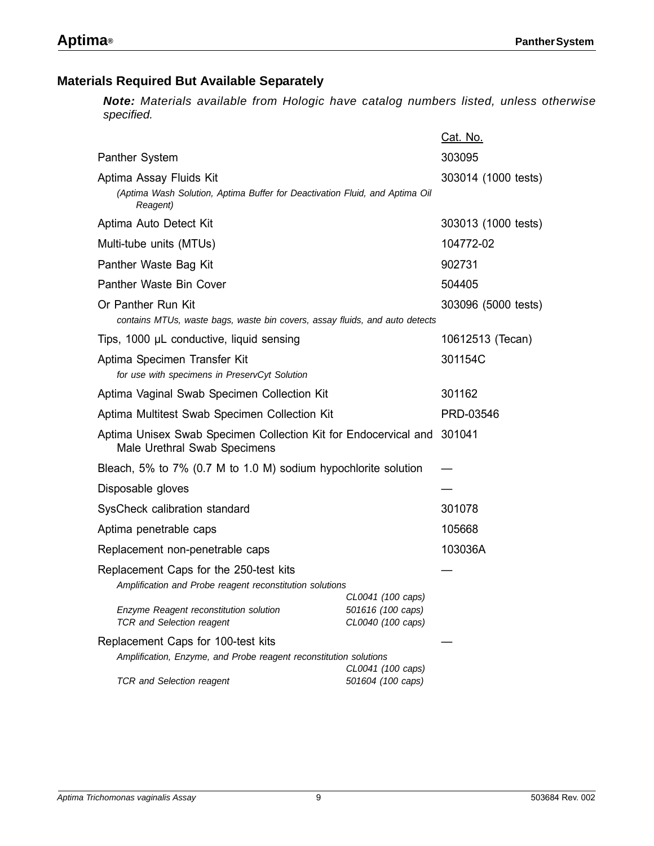### <span id="page-8-0"></span>**Materials Required But Available Separately**

*Note: Materials available from Hologic have catalog numbers listed, unless otherwise specified.*

|                                                                                                                    |                                                             | Cat. No.            |  |
|--------------------------------------------------------------------------------------------------------------------|-------------------------------------------------------------|---------------------|--|
| <b>Panther System</b>                                                                                              |                                                             | 303095              |  |
| Aptima Assay Fluids Kit<br>(Aptima Wash Solution, Aptima Buffer for Deactivation Fluid, and Aptima Oil<br>Reagent) | 303014 (1000 tests)                                         |                     |  |
| Aptima Auto Detect Kit                                                                                             | 303013 (1000 tests)                                         |                     |  |
| Multi-tube units (MTUs)                                                                                            |                                                             | 104772-02           |  |
| Panther Waste Bag Kit                                                                                              |                                                             | 902731              |  |
| Panther Waste Bin Cover                                                                                            |                                                             | 504405              |  |
| Or Panther Run Kit<br>contains MTUs, waste bags, waste bin covers, assay fluids, and auto detects                  |                                                             | 303096 (5000 tests) |  |
| Tips, 1000 µL conductive, liquid sensing                                                                           |                                                             | 10612513 (Tecan)    |  |
| Aptima Specimen Transfer Kit<br>for use with specimens in PreservCyt Solution                                      |                                                             | 301154C             |  |
| Aptima Vaginal Swab Specimen Collection Kit                                                                        | 301162                                                      |                     |  |
| Aptima Multitest Swab Specimen Collection Kit                                                                      | PRD-03546                                                   |                     |  |
| Aptima Unisex Swab Specimen Collection Kit for Endocervical and<br>Male Urethral Swab Specimens                    |                                                             | 301041              |  |
| Bleach, 5% to 7% (0.7 M to 1.0 M) sodium hypochlorite solution                                                     |                                                             |                     |  |
| Disposable gloves                                                                                                  |                                                             |                     |  |
| SysCheck calibration standard                                                                                      |                                                             | 301078              |  |
| Aptima penetrable caps                                                                                             |                                                             | 105668              |  |
| Replacement non-penetrable caps                                                                                    |                                                             | 103036A             |  |
| Replacement Caps for the 250-test kits<br>Amplification and Probe reagent reconstitution solutions                 |                                                             |                     |  |
| Enzyme Reagent reconstitution solution<br><b>TCR and Selection reagent</b>                                         | CL0041 (100 caps)<br>501616 (100 caps)<br>CL0040 (100 caps) |                     |  |
| Replacement Caps for 100-test kits                                                                                 |                                                             |                     |  |
| Amplification, Enzyme, and Probe reagent reconstitution solutions                                                  | CL0041 (100 caps)                                           |                     |  |
| <b>TCR and Selection reagent</b>                                                                                   | 501604 (100 caps)                                           |                     |  |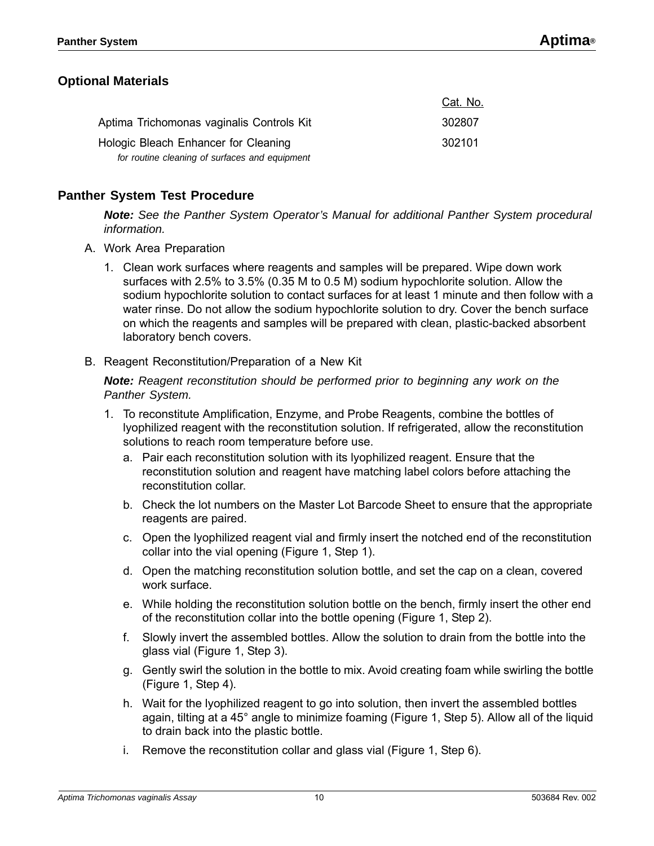Cat. No.

### <span id="page-9-0"></span>**Optional Materials**

|                                                | <b>OUL. IVO.</b> |
|------------------------------------------------|------------------|
| Aptima Trichomonas vaginalis Controls Kit      | 302807           |
| Hologic Bleach Enhancer for Cleaning           | 302101           |
| for routine cleaning of surfaces and equipment |                  |

### <span id="page-9-1"></span>**Panther System Test Procedure**

*Note: See the Panther System Operator's Manual for additional Panther System procedural information.*

- A. Work Area Preparation
	- 1. Clean work surfaces where reagents and samples will be prepared. Wipe down work surfaces with 2.5% to 3.5% (0.35 M to 0.5 M) sodium hypochlorite solution. Allow the sodium hypochlorite solution to contact surfaces for at least 1 minute and then follow with a water rinse. Do not allow the sodium hypochlorite solution to dry. Cover the bench surface on which the reagents and samples will be prepared with clean, plastic-backed absorbent laboratory bench covers.
- B. Reagent Reconstitution/Preparation of a New Kit

*Note: Reagent reconstitution should be performed prior to beginning any work on the Panther System.*

- 1. To reconstitute Amplification, Enzyme, and Probe Reagents, combine the bottles of lyophilized reagent with the reconstitution solution. If refrigerated, allow the reconstitution solutions to reach room temperature before use.
	- a. Pair each reconstitution solution with its lyophilized reagent. Ensure that the reconstitution solution and reagent have matching label colors before attaching the reconstitution collar.
	- b. Check the lot numbers on the Master Lot Barcode Sheet to ensure that the appropriate reagents are paired.
	- c. Open the lyophilized reagent vial and firmly insert the notched end of the reconstitution collar into the vial opening [\(Figure 1](#page-10-0), Step 1).
	- d. Open the matching reconstitution solution bottle, and set the cap on a clean, covered work surface.
	- e. While holding the reconstitution solution bottle on the bench, firmly insert the other end of the reconstitution collar into the bottle opening [\(Figure 1,](#page-10-0) Step 2).
	- f. Slowly invert the assembled bottles. Allow the solution to drain from the bottle into the glass vial [\(Figure 1](#page-10-0), Step 3).
	- g. Gently swirl the solution in the bottle to mix. Avoid creating foam while swirling the bottle ([Figure 1](#page-10-0), Step 4).
	- h. Wait for the lyophilized reagent to go into solution, then invert the assembled bottles again, tilting at a 45° angle to minimize foaming [\(Figure 1,](#page-10-0) Step 5). Allow all of the liquid to drain back into the plastic bottle.
	- i. Remove the reconstitution collar and glass vial ([Figure 1,](#page-10-0) Step 6).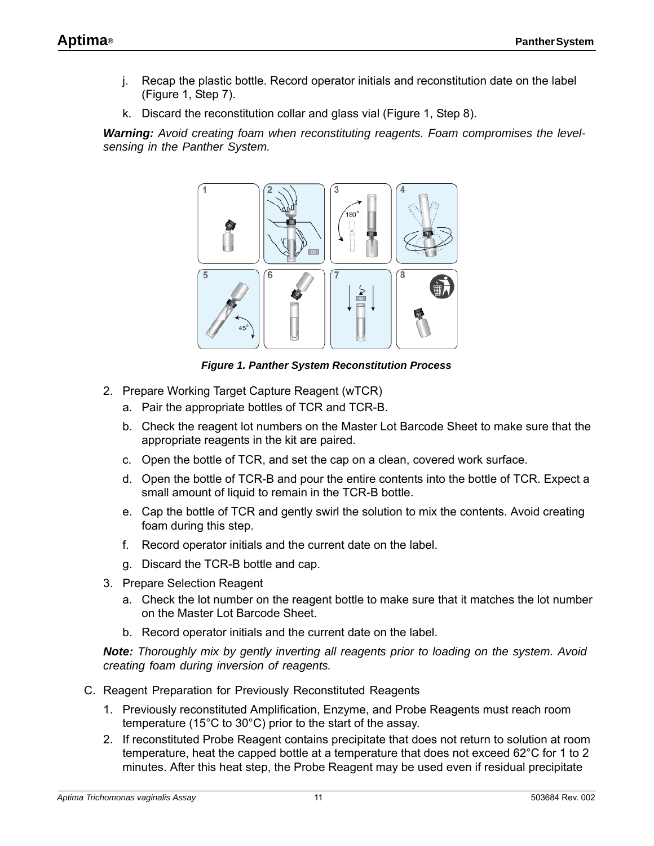- j. Recap the plastic bottle. Record operator initials and reconstitution date on the label [\(Figure 1,](#page-10-0) Step 7).
- k. Discard the reconstitution collar and glass vial [\(Figure 1,](#page-10-0) Step 8).

*Warning: Avoid creating foam when reconstituting reagents. Foam compromises the levelsensing in the Panther System.*



*Figure 1. Panther System Reconstitution Process*

- <span id="page-10-0"></span>2. Prepare Working Target Capture Reagent (wTCR)
	- a. Pair the appropriate bottles of TCR and TCR-B.
	- b. Check the reagent lot numbers on the Master Lot Barcode Sheet to make sure that the appropriate reagents in the kit are paired.
	- c. Open the bottle of TCR, and set the cap on a clean, covered work surface.
	- d. Open the bottle of TCR-B and pour the entire contents into the bottle of TCR. Expect a small amount of liquid to remain in the TCR-B bottle.
	- e. Cap the bottle of TCR and gently swirl the solution to mix the contents. Avoid creating foam during this step.
	- f. Record operator initials and the current date on the label.
	- g. Discard the TCR-B bottle and cap.
- 3. Prepare Selection Reagent
	- a. Check the lot number on the reagent bottle to make sure that it matches the lot number on the Master Lot Barcode Sheet.
	- b. Record operator initials and the current date on the label.

*Note: Thoroughly mix by gently inverting all reagents prior to loading on the system. Avoid creating foam during inversion of reagents.*

- C. Reagent Preparation for Previously Reconstituted Reagents
	- 1. Previously reconstituted Amplification, Enzyme, and Probe Reagents must reach room temperature (15°C to 30°C) prior to the start of the assay.
	- 2. If reconstituted Probe Reagent contains precipitate that does not return to solution at room temperature, heat the capped bottle at a temperature that does not exceed 62°C for 1 to 2 minutes. After this heat step, the Probe Reagent may be used even if residual precipitate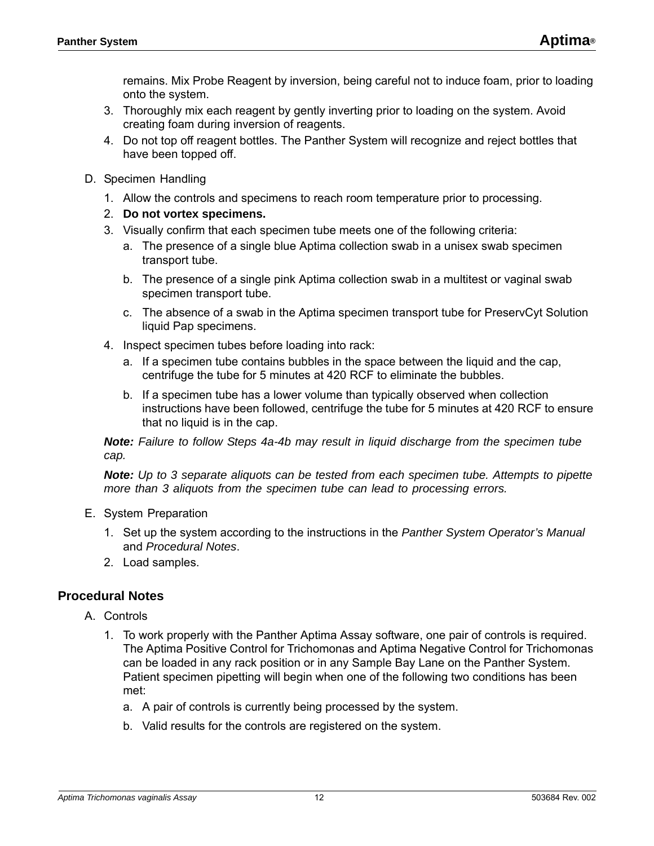remains. Mix Probe Reagent by inversion, being careful not to induce foam, prior to loading onto the system.

- 3. Thoroughly mix each reagent by gently inverting prior to loading on the system. Avoid creating foam during inversion of reagents.
- 4. Do not top off reagent bottles. The Panther System will recognize and reject bottles that have been topped off.
- D. Specimen Handling
	- 1. Allow the controls and specimens to reach room temperature prior to processing.
	- 2. **Do not vortex specimens.**
	- 3. Visually confirm that each specimen tube meets one of the following criteria:
		- a. The presence of a single blue Aptima collection swab in a unisex swab specimen transport tube.
		- b. The presence of a single pink Aptima collection swab in a multitest or vaginal swab specimen transport tube.
		- c. The absence of a swab in the Aptima specimen transport tube for PreservCyt Solution liquid Pap specimens.
	- 4. Inspect specimen tubes before loading into rack:
		- a. If a specimen tube contains bubbles in the space between the liquid and the cap, centrifuge the tube for 5 minutes at 420 RCF to eliminate the bubbles.
		- b. If a specimen tube has a lower volume than typically observed when collection instructions have been followed, centrifuge the tube for 5 minutes at 420 RCF to ensure that no liquid is in the cap.

<span id="page-11-3"></span><span id="page-11-2"></span><span id="page-11-1"></span>*Note: Failure to follow Steps [4](#page-11-1)[a-](#page-11-2)[4](#page-11-1)[b](#page-11-3) may result in liquid discharge from the specimen tube cap.*

*Note: Up to 3 separate aliquots can be tested from each specimen tube. Attempts to pipette more than 3 aliquots from the specimen tube can lead to processing errors.*

- E. System Preparation
	- 1. Set up the system according to the instructions in the *Panther System Operator's Manual* and *[Procedural Notes](#page-11-0)*.
	- 2. Load samples.

### <span id="page-11-0"></span>**Procedural Notes**

- A. Controls
	- 1. To work properly with the Panther Aptima Assay software, one pair of controls is required. The Aptima Positive Control for Trichomonas and Aptima Negative Control for Trichomonas can be loaded in any rack position or in any Sample Bay Lane on the Panther System. Patient specimen pipetting will begin when one of the following two conditions has been met:
		- a. A pair of controls is currently being processed by the system.
		- b. Valid results for the controls are registered on the system.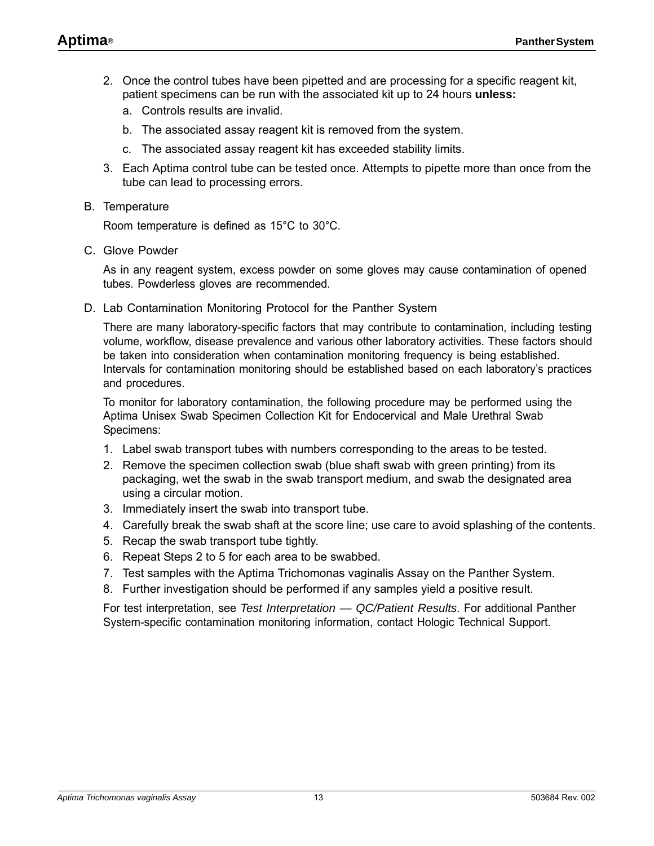- 2. Once the control tubes have been pipetted and are processing for a specific reagent kit, patient specimens can be run with the associated kit up to 24 hours **unless:**
	- a. Controls results are invalid.
	- b. The associated assay reagent kit is removed from the system.
	- c. The associated assay reagent kit has exceeded stability limits.
- 3. Each Aptima control tube can be tested once. Attempts to pipette more than once from the tube can lead to processing errors.
- B. Temperature

Room temperature is defined as 15°C to 30°C.

C. Glove Powder

As in any reagent system, excess powder on some gloves may cause contamination of opened tubes. Powderless gloves are recommended.

D. Lab Contamination Monitoring Protocol for the Panther System

There are many laboratory-specific factors that may contribute to contamination, including testing volume, workflow, disease prevalence and various other laboratory activities. These factors should be taken into consideration when contamination monitoring frequency is being established. Intervals for contamination monitoring should be established based on each laboratory's practices and procedures.

To monitor for laboratory contamination, the following procedure may be performed using the Aptima Unisex Swab Specimen Collection Kit for Endocervical and Male Urethral Swab Specimens:

- 1. Label swab transport tubes with numbers corresponding to the areas to be tested.
- <span id="page-12-0"></span>2. Remove the specimen collection swab (blue shaft swab with green printing) from its packaging, wet the swab in the swab transport medium, and swab the designated area using a circular motion.
- 3. Immediately insert the swab into transport tube.
- 4. Carefully break the swab shaft at the score line; use care to avoid splashing of the contents.
- <span id="page-12-1"></span>5. Recap the swab transport tube tightly.
- 6. Repeat Steps [2](#page-12-0) to [5](#page-12-1) for each area to be swabbed.
- 7. Test samples with the Aptima Trichomonas vaginalis Assay on the Panther System.
- 8. Further investigation should be performed if any samples yield a positive result.

For test interpretation, see *[Test Interpretation — QC/Patient Results](#page-13-0)*. For additional Panther System-specific contamination monitoring information, contact Hologic Technical Support.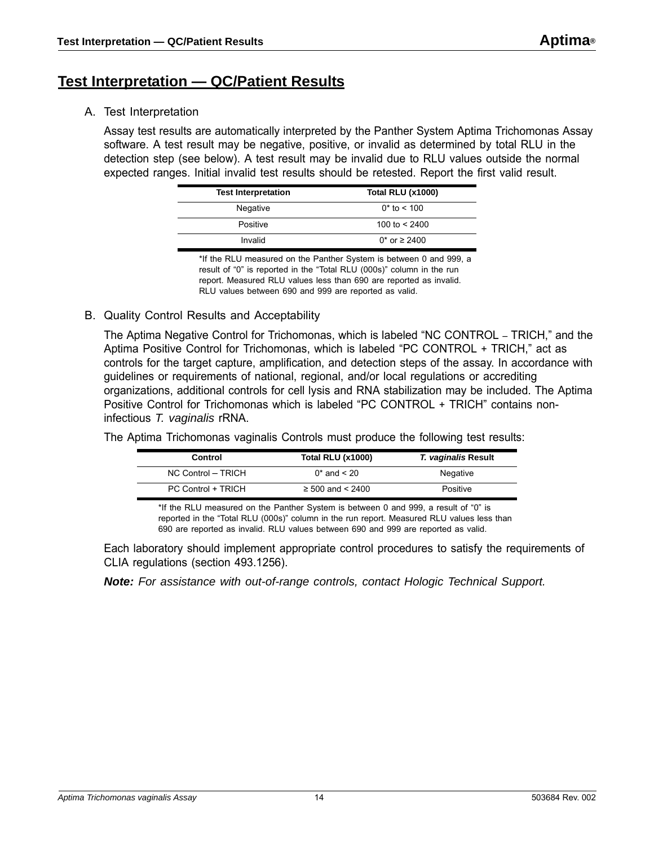### <span id="page-13-0"></span>**Test Interpretation — QC/Patient Results**

A. Test Interpretation

Assay test results are automatically interpreted by the Panther System Aptima Trichomonas Assay software. A test result may be negative, positive, or invalid as determined by total RLU in the detection step (see below). A test result may be invalid due to RLU values outside the normal expected ranges. Initial invalid test results should be retested. Report the first valid result.

| <b>Test Interpretation</b> | <b>Total RLU (x1000)</b> |
|----------------------------|--------------------------|
| Negative                   | $0*$ to $< 100$          |
| Positive                   | 100 to $<$ 2400          |
| Invalid                    | 0* or $\geq$ 2400        |

\*If the RLU measured on the Panther System is between 0 and 999, a result of "0" is reported in the "Total RLU (000s)" column in the run report. Measured RLU values less than 690 are reported as invalid. RLU values between 690 and 999 are reported as valid.

B. Quality Control Results and Acceptability

The Aptima Negative Control for Trichomonas, which is labeled "NC CONTROL – TRICH," and the Aptima Positive Control for Trichomonas, which is labeled "PC CONTROL + TRICH," act as controls for the target capture, amplification, and detection steps of the assay. In accordance with guidelines or requirements of national, regional, and/or local regulations or accrediting organizations, additional controls for cell lysis and RNA stabilization may be included. The Aptima Positive Control for Trichomonas which is labeled "PC CONTROL + TRICH" contains noninfectious *T. vaginalis* rRNA.

**Control Total RLU (x1000)** *T. vaginalis* **Result** NC Control – TRICH 0<sup>\*</sup> and < 20 Negative PC Control + TRICH ≥ 500 and < 2400 Positive

The Aptima Trichomonas vaginalis Controls must produce the following test results:

\*If the RLU measured on the Panther System is between 0 and 999, a result of "0" is reported in the "Total RLU (000s)" column in the run report. Measured RLU values less than 690 are reported as invalid. RLU values between 690 and 999 are reported as valid.

Each laboratory should implement appropriate control procedures to satisfy the requirements of CLIA regulations (section 493.1256).

*Note: For assistance with out-of-range controls, contact Hologic Technical Support.*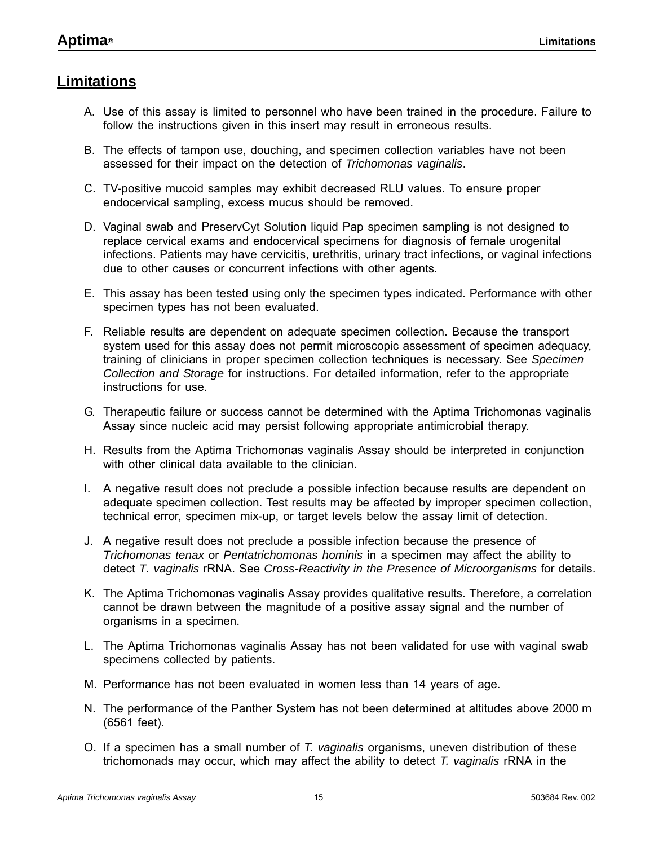### <span id="page-14-0"></span>**Limitations**

- A. Use of this assay is limited to personnel who have been trained in the procedure. Failure to follow the instructions given in this insert may result in erroneous results.
- B. The effects of tampon use, douching, and specimen collection variables have not been assessed for their impact on the detection of *Trichomonas vaginalis*.
- C. TV-positive mucoid samples may exhibit decreased RLU values. To ensure proper endocervical sampling, excess mucus should be removed.
- D. Vaginal swab and PreservCyt Solution liquid Pap specimen sampling is not designed to replace cervical exams and endocervical specimens for diagnosis of female urogenital infections. Patients may have cervicitis, urethritis, urinary tract infections, or vaginal infections due to other causes or concurrent infections with other agents.
- E. This assay has been tested using only the specimen types indicated. Performance with other specimen types has not been evaluated.
- F. Reliable results are dependent on adequate specimen collection. Because the transport system used for this assay does not permit microscopic assessment of specimen adequacy, training of clinicians in proper specimen collection techniques is necessary. See *[Specimen](#page-5-0)  [Collection and Storage](#page-5-0)* for instructions. For detailed information, refer to the appropriate instructions for use.
- G. Therapeutic failure or success cannot be determined with the Aptima Trichomonas vaginalis Assay since nucleic acid may persist following appropriate antimicrobial therapy.
- H. Results from the Aptima Trichomonas vaginalis Assay should be interpreted in conjunction with other clinical data available to the clinician.
- I. A negative result does not preclude a possible infection because results are dependent on adequate specimen collection. Test results may be affected by improper specimen collection, technical error, specimen mix-up, or target levels below the assay limit of detection.
- J. A negative result does not preclude a possible infection because the presence of *Trichomonas tenax* or *Pentatrichomonas hominis* in a specimen may affect the ability to detect *T. vaginalis* rRNA. See *[Cross-Reactivity in the Presence of Microorganisms](#page-24-2)* for details.
- K. The Aptima Trichomonas vaginalis Assay provides qualitative results. Therefore, a correlation cannot be drawn between the magnitude of a positive assay signal and the number of organisms in a specimen.
- L. The Aptima Trichomonas vaginalis Assay has not been validated for use with vaginal swab specimens collected by patients.
- M. Performance has not been evaluated in women less than 14 years of age.
- N. The performance of the Panther System has not been determined at altitudes above 2000 m (6561 feet).
- O. If a specimen has a small number of *T. vaginalis* organisms, uneven distribution of these trichomonads may occur, which may affect the ability to detect *T. vaginalis* rRNA in the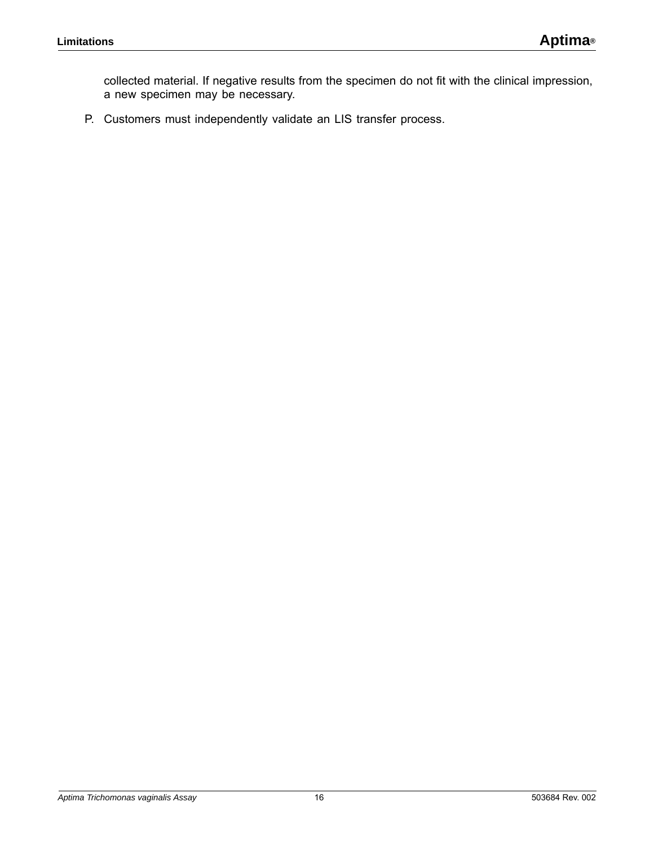collected material. If negative results from the specimen do not fit with the clinical impression, a new specimen may be necessary.

P. Customers must independently validate an LIS transfer process.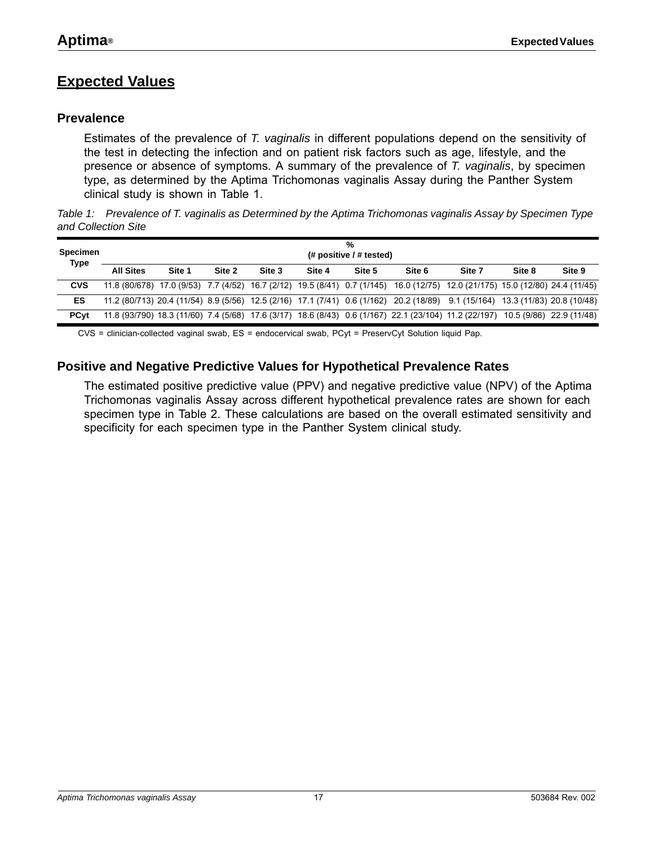# <span id="page-16-0"></span>**Expected Values**

### <span id="page-16-1"></span>**Prevalence**

Estimates of the prevalence of *T. vaginalis* in different populations depend on the sensitivity of the test in detecting the infection and on patient risk factors such as age, lifestyle, and the presence or absence of symptoms. A summary of the prevalence of *T. vaginalis*, by specimen type, as determined by the Aptima Trichomonas vaginalis Assay during the Panther System clinical study is shown in Table [1](#page-16-3).

<span id="page-16-3"></span>*Table 1: Prevalence of T. vaginalis as Determined by the Aptima Trichomonas vaginalis Assay by Specimen Type and Collection Site* 

| Specimen<br><b>Type</b> |                  | %<br>$#$ positive $#$ tested) |        |        |        |        |        |                                                                                                                                |        |        |  |  |  |  |  |
|-------------------------|------------------|-------------------------------|--------|--------|--------|--------|--------|--------------------------------------------------------------------------------------------------------------------------------|--------|--------|--|--|--|--|--|
|                         | <b>All Sites</b> | Site 1                        | Site 2 | Site 3 | Site 4 | Site 5 | Site 6 | Site 7                                                                                                                         | Site 8 | Site 9 |  |  |  |  |  |
| <b>CVS</b>              |                  |                               |        |        |        |        |        | 11.8 (80/678) 17.0 (9/53) 7.7 (4/52) 16.7 (2/12) 19.5 (8/41) 0.7 (1/145) 16.0 (12/75) 12.0 (21/175) 15.0 (12/80) 24.4 (11/45)  |        |        |  |  |  |  |  |
| <b>ES</b>               |                  |                               |        |        |        |        |        | 11.2 (80/713) 20.4 (11/54) 8.9 (5/56) 12.5 (2/16) 17.1 (7/41) 0.6 (1/162) 20.2 (18/89) 9.1 (15/164) 13.3 (11/83) 20.8 (10/48)  |        |        |  |  |  |  |  |
| <b>PC</b> vt            |                  |                               |        |        |        |        |        | 11.8 (93/790) 18.3 (11/60) 7.4 (5/68) 17.6 (3/17) 18.6 (8/43) 0.6 (1/167) 22.1 (23/104) 11.2 (22/197) 10.5 (9/86) 22.9 (11/48) |        |        |  |  |  |  |  |

CVS = clinician-collected vaginal swab, ES = endocervical swab, PCyt = PreservCyt Solution liquid Pap.

### <span id="page-16-2"></span>**Positive and Negative Predictive Values for Hypothetical Prevalence Rates**

The estimated positive predictive value (PPV) and negative predictive value (NPV) of the Aptima Trichomonas vaginalis Assay across different hypothetical prevalence rates are shown for each specimen type in Table [2](#page-17-0). These calculations are based on the overall estimated sensitivity and specificity for each specimen type in the Panther System clinical study.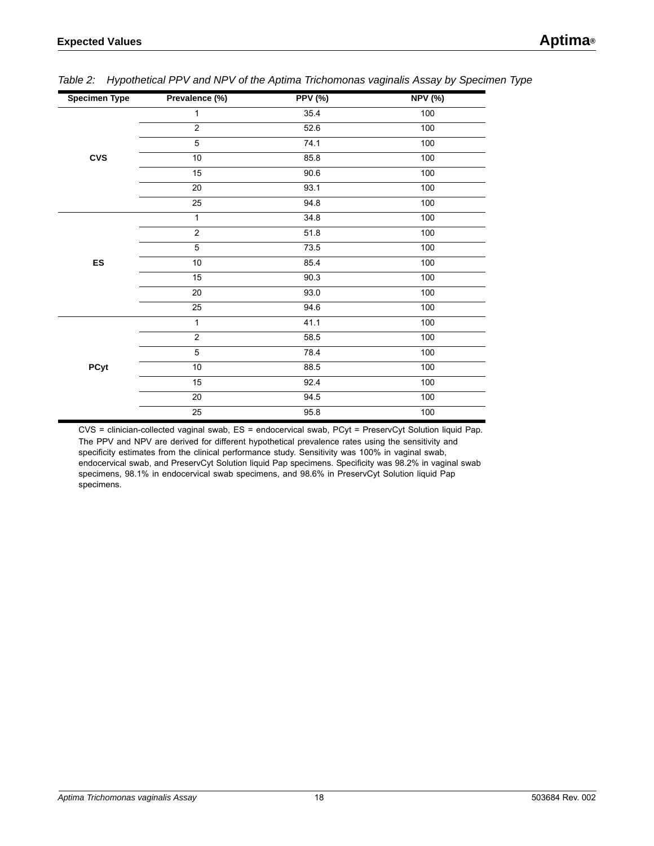| <b>Specimen Type</b> | Prevalence (%) | <b>PPV (%)</b> | <b>NPV (%)</b> |
|----------------------|----------------|----------------|----------------|
|                      | 1              | 35.4           | 100            |
|                      | $\overline{c}$ | 52.6           | 100            |
|                      | 5              | 74.1           | 100            |
| <b>CVS</b>           | 10             | 85.8           | 100            |
|                      | 15             | 90.6           | 100            |
|                      | 20             | 93.1           | 100            |
|                      | 25             | 94.8           | 100            |
|                      | 1              | 34.8           | 100            |
|                      | $\overline{2}$ | 51.8           | 100            |
|                      | 5              | 73.5           | 100            |
| <b>ES</b>            | $10\,$         | 85.4           | 100            |
|                      | 15             | 90.3           | 100            |
|                      | 20             | 93.0           | 100            |
|                      | 25             | 94.6           | 100            |
|                      | 1              | 41.1           | 100            |
|                      | $\overline{2}$ | 58.5           | 100            |
|                      | 5              | 78.4           | 100            |
| <b>PCyt</b>          | $10\,$         | 88.5           | 100            |
|                      | 15             | 92.4           | 100            |
|                      | 20             | 94.5           | 100            |
|                      | 25             | 95.8           | 100            |

<span id="page-17-0"></span>*Table 2: Hypothetical PPV and NPV of the Aptima Trichomonas vaginalis Assay by Specimen Type* 

CVS = clinician-collected vaginal swab, ES = endocervical swab, PCyt = PreservCyt Solution liquid Pap. The PPV and NPV are derived for different hypothetical prevalence rates using the sensitivity and specificity estimates from the clinical performance study. Sensitivity was 100% in vaginal swab, endocervical swab, and PreservCyt Solution liquid Pap specimens. Specificity was 98.2% in vaginal swab specimens, 98.1% in endocervical swab specimens, and 98.6% in PreservCyt Solution liquid Pap specimens.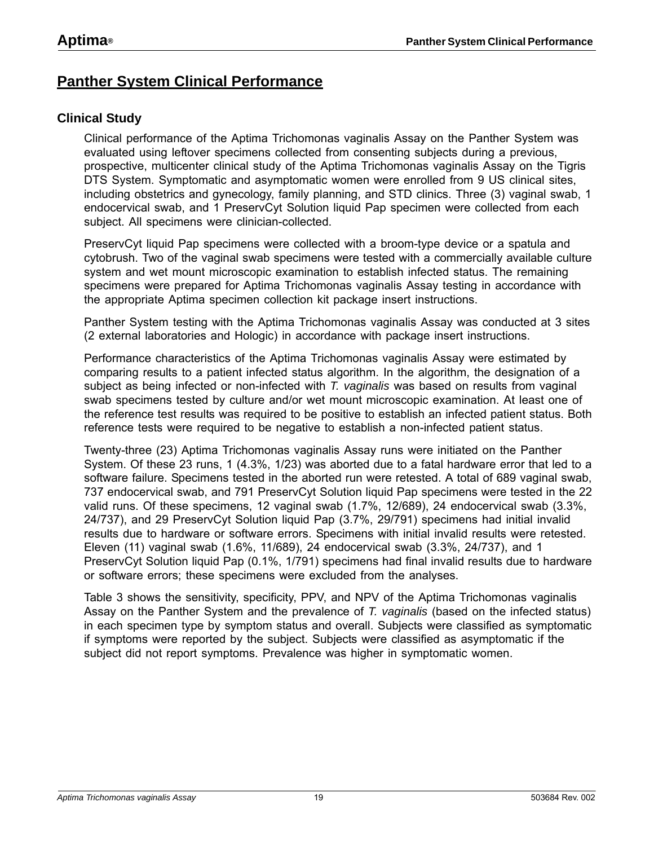# <span id="page-18-0"></span>**Panther System Clinical Performance**

### <span id="page-18-1"></span>**Clinical Study**

Clinical performance of the Aptima Trichomonas vaginalis Assay on the Panther System was evaluated using leftover specimens collected from consenting subjects during a previous, prospective, multicenter clinical study of the Aptima Trichomonas vaginalis Assay on the Tigris DTS System. Symptomatic and asymptomatic women were enrolled from 9 US clinical sites, including obstetrics and gynecology, family planning, and STD clinics. Three (3) vaginal swab, 1 endocervical swab, and 1 PreservCyt Solution liquid Pap specimen were collected from each subject. All specimens were clinician-collected.

PreservCyt liquid Pap specimens were collected with a broom-type device or a spatula and cytobrush. Two of the vaginal swab specimens were tested with a commercially available culture system and wet mount microscopic examination to establish infected status. The remaining specimens were prepared for Aptima Trichomonas vaginalis Assay testing in accordance with the appropriate Aptima specimen collection kit package insert instructions.

Panther System testing with the Aptima Trichomonas vaginalis Assay was conducted at 3 sites (2 external laboratories and Hologic) in accordance with package insert instructions.

Performance characteristics of the Aptima Trichomonas vaginalis Assay were estimated by comparing results to a patient infected status algorithm. In the algorithm, the designation of a subject as being infected or non-infected with *T. vaginalis* was based on results from vaginal swab specimens tested by culture and/or wet mount microscopic examination. At least one of the reference test results was required to be positive to establish an infected patient status. Both reference tests were required to be negative to establish a non-infected patient status.

Twenty-three (23) Aptima Trichomonas vaginalis Assay runs were initiated on the Panther System. Of these 23 runs, 1 (4.3%, 1/23) was aborted due to a fatal hardware error that led to a software failure. Specimens tested in the aborted run were retested. A total of 689 vaginal swab, 737 endocervical swab, and 791 PreservCyt Solution liquid Pap specimens were tested in the 22 valid runs. Of these specimens, 12 vaginal swab (1.7%, 12/689), 24 endocervical swab (3.3%, 24/737), and 29 PreservCyt Solution liquid Pap (3.7%, 29/791) specimens had initial invalid results due to hardware or software errors. Specimens with initial invalid results were retested. Eleven (11) vaginal swab (1.6%, 11/689), 24 endocervical swab (3.3%, 24/737), and 1 PreservCyt Solution liquid Pap (0.1%, 1/791) specimens had final invalid results due to hardware or software errors; these specimens were excluded from the analyses.

Table [3](#page-19-0) shows the sensitivity, specificity, PPV, and NPV of the Aptima Trichomonas vaginalis Assay on the Panther System and the prevalence of *T. vaginalis* (based on the infected status) in each specimen type by symptom status and overall. Subjects were classified as symptomatic if symptoms were reported by the subject. Subjects were classified as asymptomatic if the subject did not report symptoms. Prevalence was higher in symptomatic women.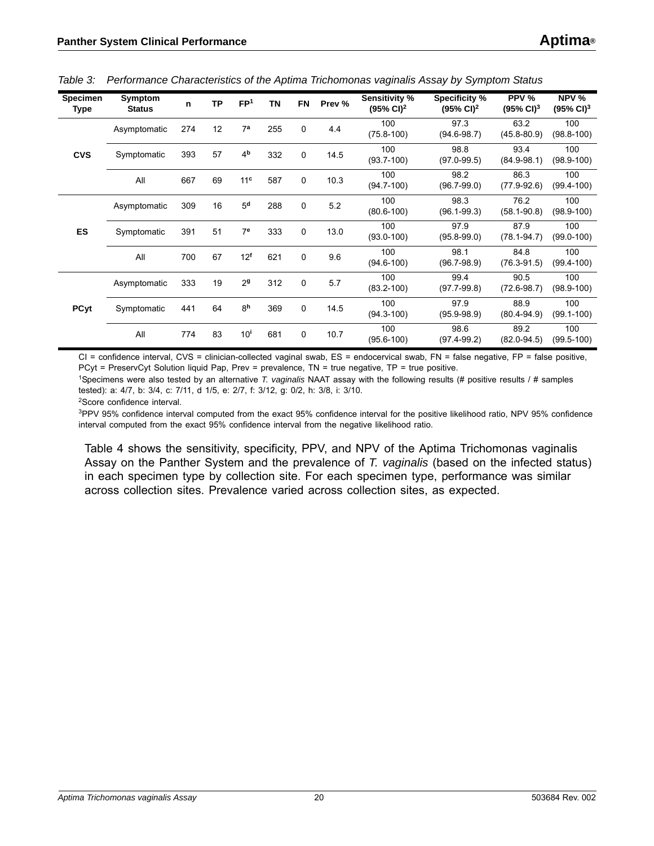| <b>Specimen</b><br>Type | Symptom<br><b>Status</b> | n   | <b>TP</b> | FP <sup>1</sup> | <b>TN</b> | <b>FN</b> | Prev % | Sensitivity %<br>$(95\% \text{ Cl})^2$ | Specificity %<br>$(95\% \text{ Cl})^2$ | PPV %<br>$(95\% \text{ Cl})^3$ | NPV %<br>$(95\% \text{ Cl})^3$ |
|-------------------------|--------------------------|-----|-----------|-----------------|-----------|-----------|--------|----------------------------------------|----------------------------------------|--------------------------------|--------------------------------|
| <b>CVS</b>              | Asymptomatic             | 274 | 12        | 7 <sup>a</sup>  | 255       | 0         | 4.4    | 100<br>$(75.8 - 100)$                  | 97.3<br>$(94.6 - 98.7)$                | 63.2<br>$(45.8 - 80.9)$        | 100<br>$(98.8 - 100)$          |
|                         | Symptomatic              | 393 | 57        | 4 <sup>b</sup>  | 332       | 0         | 14.5   | 100<br>$(93.7 - 100)$                  | 98.8<br>$(97.0 - 99.5)$                | 93.4<br>$(84.9 - 98.1)$        | 100<br>$(98.9 - 100)$          |
|                         | All                      | 667 | 69        | 11 <sup>c</sup> | 587       | 0         | 10.3   | 100<br>$(94.7 - 100)$                  | 98.2<br>$(96.7 - 99.0)$                | 86.3<br>$(77.9 - 92.6)$        | 100<br>$(99.4 - 100)$          |
|                         | Asymptomatic             | 309 | 16        | 5 <sup>d</sup>  | 288       | 0         | 5.2    | 100<br>$(80.6 - 100)$                  | 98.3<br>$(96.1 - 99.3)$                | 76.2<br>$(58.1 - 90.8)$        | 100<br>$(98.9 - 100)$          |
| <b>ES</b>               | Symptomatic              | 391 | 51        | 7 <sup>e</sup>  | 333       | 0         | 13.0   | 100<br>$(93.0 - 100)$                  | 97.9<br>$(95.8 - 99.0)$                | 87.9<br>$(78.1 - 94.7)$        | 100<br>$(99.0 - 100)$          |
|                         | All                      | 700 | 67        | 12 <sup>f</sup> | 621       | 0         | 9.6    | 100<br>$(94.6 - 100)$                  | 98.1<br>$(96.7 - 98.9)$                | 84.8<br>$(76.3 - 91.5)$        | 100<br>$(99.4 - 100)$          |
|                         | Asymptomatic             | 333 | 19        | 2 <sup>9</sup>  | 312       | 0         | 5.7    | 100<br>$(83.2 - 100)$                  | 99.4<br>$(97.7 - 99.8)$                | 90.5<br>$(72.6 - 98.7)$        | 100<br>$(98.9 - 100)$          |
| <b>PCyt</b>             | Symptomatic              | 441 | 64        | 8 <sup>h</sup>  | 369       | 0         | 14.5   | 100<br>$(94.3 - 100)$                  | 97.9<br>$(95.9 - 98.9)$                | 88.9<br>$(80.4 - 94.9)$        | 100<br>$(99.1 - 100)$          |
|                         | All                      | 774 | 83        | 10 <sup>i</sup> | 681       | 0         | 10.7   | 100<br>$(95.6 - 100)$                  | 98.6<br>$(97.4 - 99.2)$                | 89.2<br>$(82.0 - 94.5)$        | 100<br>$(99.5 - 100)$          |

<span id="page-19-0"></span>*Table 3: Performance Characteristics of the Aptima Trichomonas vaginalis Assay by Symptom Status* 

CI = confidence interval, CVS = clinician-collected vaginal swab, ES = endocervical swab, FN = false negative, FP = false positive, PCyt = PreservCyt Solution liquid Pap, Prev = prevalence, TN = true negative, TP = true positive.

1Specimens were also tested by an alternative *T. vaginalis* NAAT assay with the following results (# positive results / # samples tested): a: 4/7, b: 3/4, c: 7/11, d 1/5, e: 2/7, f: 3/12, g: 0/2, h: 3/8, i: 3/10.

2Score confidence interval.

<sup>3</sup>PPV 95% confidence interval computed from the exact 95% confidence interval for the positive likelihood ratio, NPV 95% confidence interval computed from the exact 95% confidence interval from the negative likelihood ratio.

Table [4](#page-20-0) shows the sensitivity, specificity, PPV, and NPV of the Aptima Trichomonas vaginalis Assay on the Panther System and the prevalence of *T. vaginalis* (based on the infected status) in each specimen type by collection site. For each specimen type, performance was similar across collection sites. Prevalence varied across collection sites, as expected.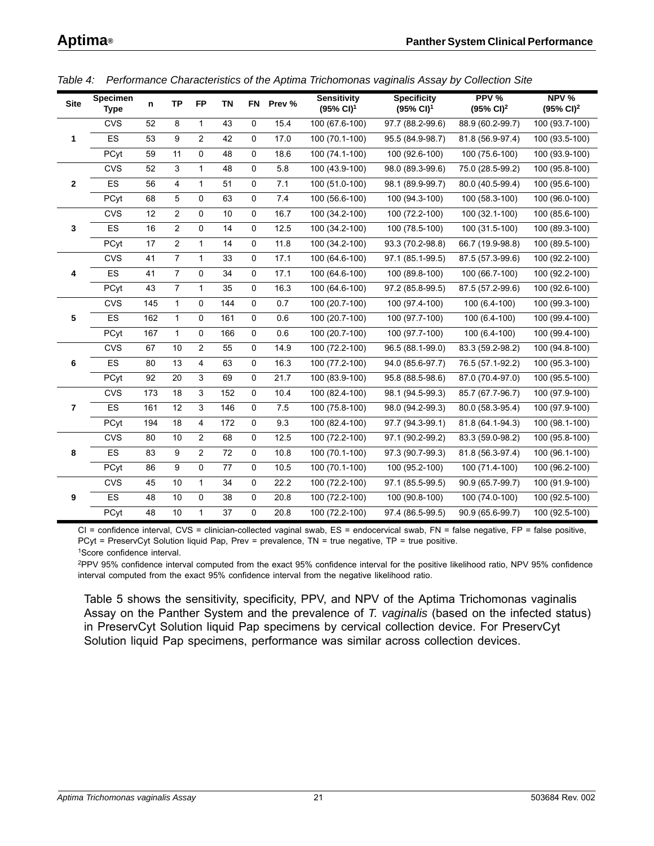| <b>Site</b>    | <b>Specimen</b><br><b>Type</b> | n   | <b>TP</b>      | <b>FP</b>      | <b>TN</b> | <b>FN</b>   | Prev % | <b>Sensitivity</b><br>$(95\% \text{ Cl})^1$ | <b>Specificity</b><br>$(95\% \text{ Cl})^1$ | PPV %<br>$(95\% \text{ Cl})^2$ | NPV %<br>$(95\% \text{ Cl})^2$ |
|----------------|--------------------------------|-----|----------------|----------------|-----------|-------------|--------|---------------------------------------------|---------------------------------------------|--------------------------------|--------------------------------|
|                | <b>CVS</b>                     | 52  | 8              | $\mathbf{1}$   | 43        | $\mathbf 0$ | 15.4   | 100 (67.6-100)                              | 97.7 (88.2-99.6)                            | 88.9 (60.2-99.7)               | 100 (93.7-100)                 |
| $\mathbf 1$    | <b>ES</b>                      | 53  | 9              | $\overline{2}$ | 42        | 0           | 17.0   | 100 (70.1-100)                              | 95.5 (84.9-98.7)                            | 81.8 (56.9-97.4)               | 100 (93.5-100)                 |
|                | PCyt                           | 59  | 11             | 0              | 48        | 0           | 18.6   | 100 (74.1-100)                              | 100 (92.6-100)                              | 100 (75.6-100)                 | 100 (93.9-100)                 |
|                | <b>CVS</b>                     | 52  | 3              | $\mathbf{1}$   | 48        | 0           | 5.8    | 100 (43.9-100)                              | 98.0 (89.3-99.6)                            | 75.0 (28.5-99.2)               | 100 (95.8-100)                 |
| $\mathbf{2}$   | <b>ES</b>                      | 56  | $\overline{4}$ | $\mathbf{1}$   | 51        | $\mathbf 0$ | 7.1    | 100 (51.0-100)                              | 98.1 (89.9-99.7)                            | 80.0 (40.5-99.4)               | 100 (95.6-100)                 |
|                | PCyt                           | 68  | 5              | 0              | 63        | 0           | 7.4    | 100 (56.6-100)                              | 100 (94.3-100)                              | 100 (58.3-100)                 | 100 (96.0-100)                 |
|                | <b>CVS</b>                     | 12  | $\overline{2}$ | 0              | 10        | 0           | 16.7   | 100 (34.2-100)                              | 100 (72.2-100)                              | 100 (32.1-100)                 | 100 (85.6-100)                 |
| 3              | <b>ES</b>                      | 16  | $\overline{2}$ | 0              | 14        | 0           | 12.5   | 100 (34.2-100)                              | 100 (78.5-100)                              | 100 (31.5-100)                 | 100 (89.3-100)                 |
|                | PCyt                           | 17  | $\overline{2}$ | $\mathbf{1}$   | 14        | 0           | 11.8   | 100 (34.2-100)                              | 93.3 (70.2-98.8)                            | 66.7 (19.9-98.8)               | 100 (89.5-100)                 |
|                | <b>CVS</b>                     | 41  | $\overline{7}$ | $\mathbf{1}$   | 33        | 0           | 17.1   | 100 (64.6-100)                              | 97.1 (85.1-99.5)                            | 87.5 (57.3-99.6)               | 100 (92.2-100)                 |
| 4              | <b>ES</b>                      | 41  | $\overline{7}$ | 0              | 34        | 0           | 17.1   | 100 (64.6-100)                              | 100 (89.8-100)                              | 100 (66.7-100)                 | 100 (92.2-100)                 |
|                | PCyt                           | 43  | $\overline{7}$ | $\mathbf{1}$   | 35        | 0           | 16.3   | 100 (64.6-100)                              | 97.2 (85.8-99.5)                            | 87.5 (57.2-99.6)               | 100 (92.6-100)                 |
|                | <b>CVS</b>                     | 145 | $\mathbf{1}$   | 0              | 144       | 0           | 0.7    | 100 (20.7-100)                              | 100 (97.4-100)                              | 100 (6.4-100)                  | 100 (99.3-100)                 |
| 5              | <b>ES</b>                      | 162 | $\mathbf{1}$   | 0              | 161       | 0           | 0.6    | 100 (20.7-100)                              | 100 (97.7-100)                              | 100 (6.4-100)                  | 100 (99.4-100)                 |
|                | PCyt                           | 167 | $\mathbf{1}$   | 0              | 166       | $\mathbf 0$ | 0.6    | 100 (20.7-100)                              | 100 (97.7-100)                              | 100 (6.4-100)                  | 100 (99.4-100)                 |
|                | <b>CVS</b>                     | 67  | 10             | $\overline{2}$ | 55        | 0           | 14.9   | 100 (72.2-100)                              | 96.5 (88.1-99.0)                            | 83.3 (59.2-98.2)               | 100 (94.8-100)                 |
| 6              | <b>ES</b>                      | 80  | 13             | 4              | 63        | 0           | 16.3   | 100 (77.2-100)                              | 94.0 (85.6-97.7)                            | 76.5 (57.1-92.2)               | 100 (95.3-100)                 |
|                | PCyt                           | 92  | 20             | 3              | 69        | 0           | 21.7   | 100 (83.9-100)                              | 95.8 (88.5-98.6)                            | 87.0 (70.4-97.0)               | 100 (95.5-100)                 |
|                | <b>CVS</b>                     | 173 | 18             | 3              | 152       | $\mathbf 0$ | 10.4   | 100 (82.4-100)                              | 98.1 (94.5-99.3)                            | 85.7 (67.7-96.7)               | 100 (97.9-100)                 |
| $\overline{7}$ | ES                             | 161 | 12             | 3              | 146       | 0           | 7.5    | 100 (75.8-100)                              | 98.0 (94.2-99.3)                            | 80.0 (58.3-95.4)               | 100 (97.9-100)                 |
|                | PCyt                           | 194 | 18             | $\overline{4}$ | 172       | 0           | 9.3    | 100 (82.4-100)                              | 97.7 (94.3-99.1)                            | 81.8 (64.1-94.3)               | 100 (98.1-100)                 |
|                | <b>CVS</b>                     | 80  | 10             | $\overline{2}$ | 68        | 0           | 12.5   | 100 (72.2-100)                              | 97.1 (90.2-99.2)                            | 83.3 (59.0-98.2)               | 100 (95.8-100)                 |
| 8              | <b>ES</b>                      | 83  | 9              | $\overline{2}$ | 72        | 0           | 10.8   | 100 (70.1-100)                              | 97.3 (90.7-99.3)                            | 81.8 (56.3-97.4)               | 100 (96.1-100)                 |
|                | PCyt                           | 86  | 9              | 0              | 77        | 0           | 10.5   | 100 (70.1-100)                              | 100 (95.2-100)                              | 100 (71.4-100)                 | 100 (96.2-100)                 |
|                | <b>CVS</b>                     | 45  | 10             | 1              | 34        | 0           | 22.2   | 100 (72.2-100)                              | 97.1 (85.5-99.5)                            | 90.9 (65.7-99.7)               | 100 (91.9-100)                 |
| 9              | <b>ES</b>                      | 48  | 10             | 0              | 38        | $\mathbf 0$ | 20.8   | 100 (72.2-100)                              | 100 (90.8-100)                              | 100 (74.0-100)                 | 100 (92.5-100)                 |
|                | PCyt                           | 48  | $10$           | $\mathbf{1}$   | 37        | 0           | 20.8   | 100 (72.2-100)                              | 97.4 (86.5-99.5)                            | 90.9 (65.6-99.7)               | 100 (92.5-100)                 |

<span id="page-20-0"></span>*Table 4: Performance Characteristics of the Aptima Trichomonas vaginalis Assay by Collection Site* 

 $CI =$  confidence interval,  $CVS =$  clinician-collected vaginal swab,  $ES =$  endocervical swab,  $FN =$  false negative,  $FP =$  false positive, PCyt = PreservCyt Solution liquid Pap, Prev = prevalence, TN = true negative, TP = true positive. 1Score confidence interval.

2PPV 95% confidence interval computed from the exact 95% confidence interval for the positive likelihood ratio, NPV 95% confidence interval computed from the exact 95% confidence interval from the negative likelihood ratio.

Table [5](#page-21-1) shows the sensitivity, specificity, PPV, and NPV of the Aptima Trichomonas vaginalis Assay on the Panther System and the prevalence of *T. vaginalis* (based on the infected status) in PreservCyt Solution liquid Pap specimens by cervical collection device. For PreservCyt Solution liquid Pap specimens, performance was similar across collection devices.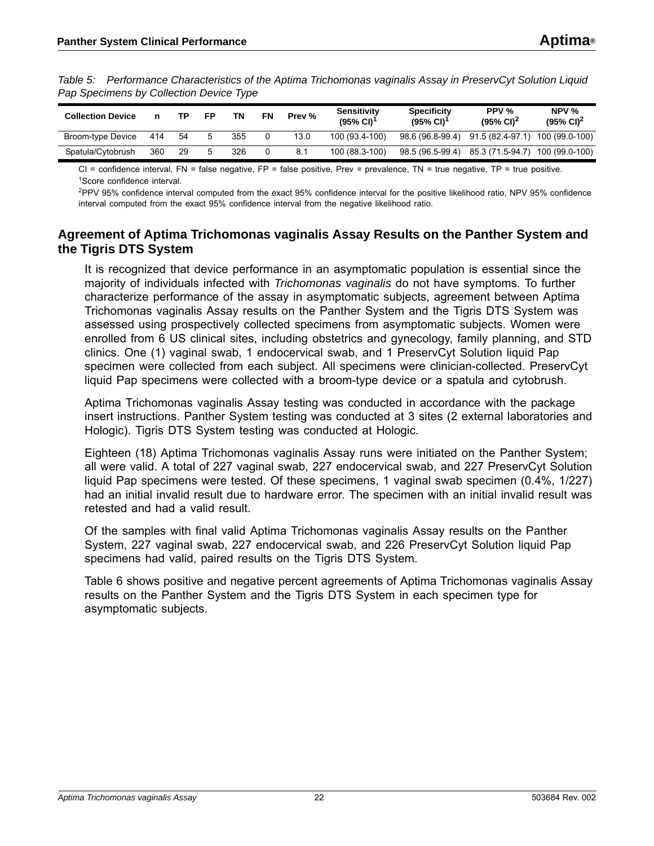<span id="page-21-1"></span>*Table 5: Performance Characteristics of the Aptima Trichomonas vaginalis Assay in PreservCyt Solution Liquid Pap Specimens by Collection Device Type* 

| <b>Collection Device</b> |     | то | FP | TN  | FN | Prev % | <b>Sensitivity</b><br>$(95\% \text{ Cl})^{\text{T}}$ | <b>Specificity</b><br>$(95\% \text{ Cl})^{\text{T}}$ | PPV %<br>$(95\% \text{ Cl})^2$ | NPV $%$<br>$(95\% \text{ Cl})^2$ |
|--------------------------|-----|----|----|-----|----|--------|------------------------------------------------------|------------------------------------------------------|--------------------------------|----------------------------------|
| Broom-type Device        | 414 | 54 |    | 355 |    | 13.0   | 100 (93.4-100)                                       | 98.6 (96.8-99.4)                                     | 91.5 (82.4-97.1)               | 100 (99.0-100)                   |
| Spatula/Cytobrush        | 360 | 29 |    | 326 |    | 8.1    | 100 (88.3-100)                                       | 98.5 (96.5-99.4)                                     | 85.3 (71.5-94.7)               | 100 (99.0-100)                   |

 $CI =$  confidence interval,  $FN =$  false negative,  $FP =$  false positive, Prev = prevalence,  $TN =$  true negative,  $TP =$  true positive. 1Score confidence interval.

2PPV 95% confidence interval computed from the exact 95% confidence interval for the positive likelihood ratio, NPV 95% confidence interval computed from the exact 95% confidence interval from the negative likelihood ratio.

### <span id="page-21-0"></span>**Agreement of Aptima Trichomonas vaginalis Assay Results on the Panther System and the Tigris DTS System**

It is recognized that device performance in an asymptomatic population is essential since the majority of individuals infected with *Trichomonas vaginalis* do not have symptoms. To further characterize performance of the assay in asymptomatic subjects, agreement between Aptima Trichomonas vaginalis Assay results on the Panther System and the Tigris DTS System was assessed using prospectively collected specimens from asymptomatic subjects. Women were enrolled from 6 US clinical sites, including obstetrics and gynecology, family planning, and STD clinics. One (1) vaginal swab, 1 endocervical swab, and 1 PreservCyt Solution liquid Pap specimen were collected from each subject. All specimens were clinician-collected. PreservCyt liquid Pap specimens were collected with a broom-type device or a spatula and cytobrush.

Aptima Trichomonas vaginalis Assay testing was conducted in accordance with the package insert instructions. Panther System testing was conducted at 3 sites (2 external laboratories and Hologic). Tigris DTS System testing was conducted at Hologic.

Eighteen (18) Aptima Trichomonas vaginalis Assay runs were initiated on the Panther System; all were valid. A total of 227 vaginal swab, 227 endocervical swab, and 227 PreservCyt Solution liquid Pap specimens were tested. Of these specimens, 1 vaginal swab specimen (0.4%, 1/227) had an initial invalid result due to hardware error. The specimen with an initial invalid result was retested and had a valid result.

Of the samples with final valid Aptima Trichomonas vaginalis Assay results on the Panther System, 227 vaginal swab, 227 endocervical swab, and 226 PreservCyt Solution liquid Pap specimens had valid, paired results on the Tigris DTS System.

Table [6](#page-22-1) shows positive and negative percent agreements of Aptima Trichomonas vaginalis Assay results on the Panther System and the Tigris DTS System in each specimen type for asymptomatic subjects.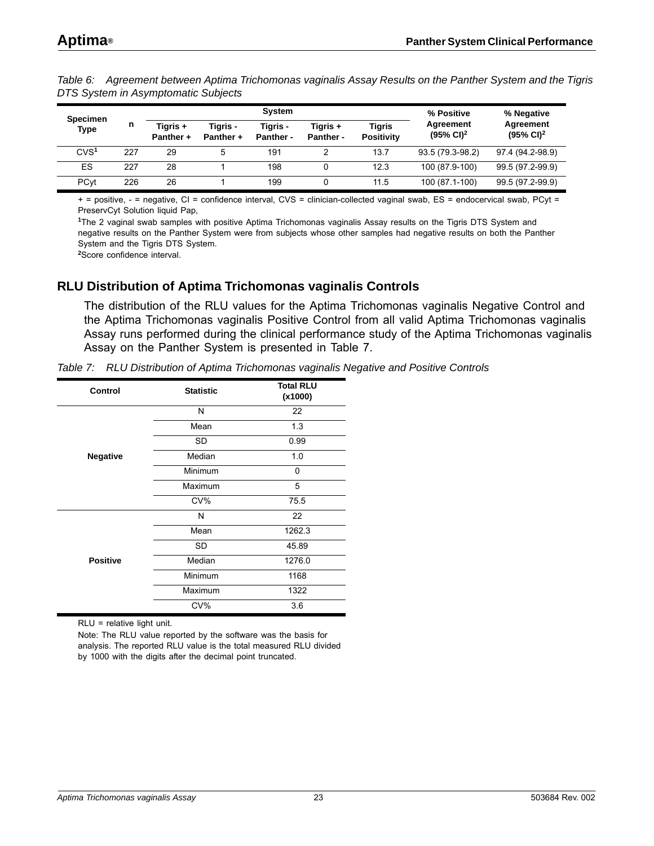| <b>Specimen</b><br><b>Type</b> |     |                       |                       | % Positive            | % Negative            |                             |                                    |                                    |
|--------------------------------|-----|-----------------------|-----------------------|-----------------------|-----------------------|-----------------------------|------------------------------------|------------------------------------|
|                                | n   | Tiaris +<br>Panther + | Tiaris -<br>Panther + | Tiaris -<br>Panther - | Tigris +<br>Panther - | Tigris<br><b>Positivity</b> | Agreement<br>$(95\% \text{ Cl})^2$ | Agreement<br>$(95\% \text{ Cl})^2$ |
| CVS <sup>1</sup>               | 227 | 29                    | 5                     | 191                   |                       | 13.7                        | 93.5 (79.3-98.2)                   | 97.4 (94.2-98.9)                   |
| ES                             | 227 | 28                    |                       | 198                   |                       | 12.3                        | 100 (87.9-100)                     | 99.5 (97.2-99.9)                   |
| PCyt                           | 226 | 26                    |                       | 199                   |                       | 11.5                        | 100 (87.1-100)                     | 99.5 (97.2-99.9)                   |

<span id="page-22-1"></span>*Table 6: Agreement between Aptima Trichomonas vaginalis Assay Results on the Panther System and the Tigris DTS System in Asymptomatic Subjects* 

+ = positive, - = negative, CI = confidence interval, CVS = clinician-collected vaginal swab, ES = endocervical swab, PCyt = PreservCyt Solution liquid Pap,

**<sup>1</sup>**The 2 vaginal swab samples with positive Aptima Trichomonas vaginalis Assay results on the Tigris DTS System and negative results on the Panther System were from subjects whose other samples had negative results on both the Panther System and the Tigris DTS System.

**<sup>2</sup>**Score confidence interval.

### <span id="page-22-0"></span>**RLU Distribution of Aptima Trichomonas vaginalis Controls**

The distribution of the RLU values for the Aptima Trichomonas vaginalis Negative Control and the Aptima Trichomonas vaginalis Positive Control from all valid Aptima Trichomonas vaginalis Assay runs performed during the clinical performance study of the Aptima Trichomonas vaginalis Assay on the Panther System is presented in Table [7](#page-22-2).

<span id="page-22-2"></span>

|  |  |  | Table 7: RLU Distribution of Aptima Trichomonas vaginalis Negative and Positive Controls |
|--|--|--|------------------------------------------------------------------------------------------|
|--|--|--|------------------------------------------------------------------------------------------|

| Control         | <b>Statistic</b> | <b>Total RLU</b><br>(x1000) |
|-----------------|------------------|-----------------------------|
|                 | N                | 22                          |
|                 | Mean             | 1.3                         |
|                 | <b>SD</b>        | 0.99                        |
| <b>Negative</b> | Median           | 1.0                         |
|                 | Minimum          | 0                           |
|                 | Maximum          | 5                           |
|                 | CV%              | 75.5                        |
|                 | N                | 22                          |
|                 | Mean             | 1262.3                      |
|                 | SD               | 45.89                       |
| <b>Positive</b> | Median           | 1276.0                      |
|                 | Minimum          | 1168                        |
|                 | Maximum          | 1322                        |
|                 | CV%              | 3.6                         |

RLU = relative light unit.

Note: The RLU value reported by the software was the basis for analysis. The reported RLU value is the total measured RLU divided by 1000 with the digits after the decimal point truncated.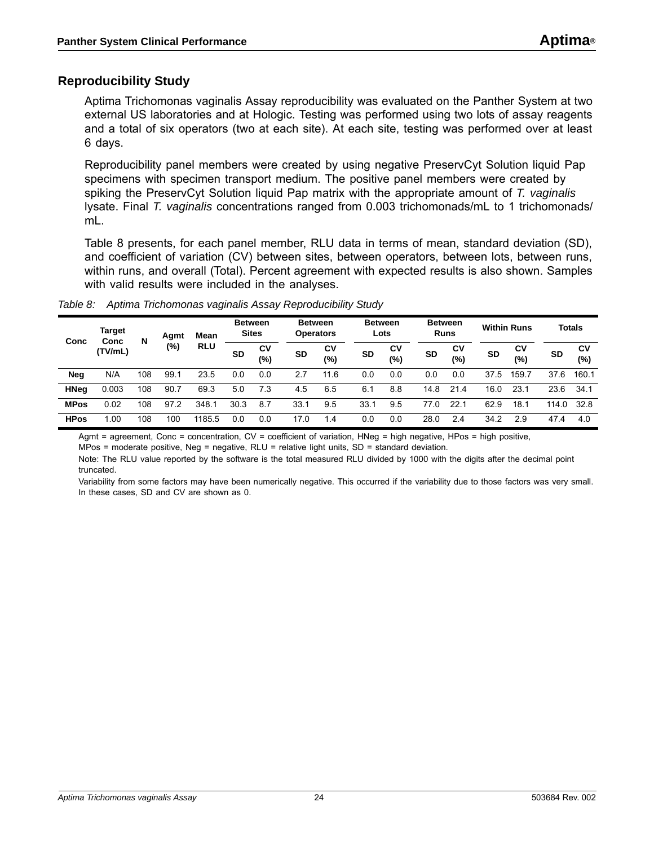### <span id="page-23-0"></span>**Reproducibility Study**

Aptima Trichomonas vaginalis Assay reproducibility was evaluated on the Panther System at two external US laboratories and at Hologic. Testing was performed using two lots of assay reagents and a total of six operators (two at each site). At each site, testing was performed over at least 6 days.

Reproducibility panel members were created by using negative PreservCyt Solution liquid Pap specimens with specimen transport medium. The positive panel members were created by spiking the PreservCyt Solution liquid Pap matrix with the appropriate amount of *T. vaginalis* lysate. Final *T. vaginalis* concentrations ranged from 0.003 trichomonads/mL to 1 trichomonads/ ml.

Table [8](#page-23-1) presents, for each panel member, RLU data in terms of mean, standard deviation (SD), and coefficient of variation (CV) between sites, between operators, between lots, between runs, within runs, and overall (Total). Percent agreement with expected results is also shown. Samples with valid results were included in the analyses.

| Conc        | Target<br>Conc | N   | Agmt | Mean       | <b>Between</b><br><b>Sites</b> |           |           | <b>Between</b><br><b>Operators</b> |           | <b>Between</b><br>Lots |           | <b>Between</b><br><b>Runs</b> |           | <b>Within Runs</b> |           | <b>Totals</b> |  |
|-------------|----------------|-----|------|------------|--------------------------------|-----------|-----------|------------------------------------|-----------|------------------------|-----------|-------------------------------|-----------|--------------------|-----------|---------------|--|
|             | (TV/mL)        |     | (%)  | <b>RLU</b> | <b>SD</b>                      | CV<br>(%) | <b>SD</b> | CV<br>(%)                          | <b>SD</b> | C٧<br>(%)              | <b>SD</b> | C٧<br>$(\%)$                  | <b>SD</b> | CV<br>(%)          | <b>SD</b> | CV<br>(%)     |  |
| <b>Neg</b>  | N/A            | 108 | 99.1 | 23.5       | 0.0                            | 0.0       | 2.7       | 11.6                               | 0.0       | 0.0                    | 0.0       | 0.0                           | 37<br>.5  | 159.7              | 37.6      | 160.1         |  |
| <b>HNeg</b> | 0.003          | 108 | 90.7 | 69.3       | 5.0                            | 7.3       | 4.5       | 6.5                                | 6.1       | 8.8                    | 14.8      | 21.4                          | 16.0      | 23.1               | 23.6      | 34.1          |  |
| <b>MPos</b> | 0.02           | 108 | 97.2 | 348.1      | 30.3                           | 8.7       | 33.1      | 9.5                                | 33.1      | 9.5                    | 77.0      | 22.                           | 62.9      | 18.1               | 114.0     | 32.8          |  |
| <b>HPos</b> | 1.00           | 108 | 100  | 1185.5     | 0.0                            | 0.0       | 17.0      | 1.4                                | 0.0       | 0.0                    | 28.0      | 2.4                           | 34.2      | 2.9                | 47.4      | 4.0           |  |

<span id="page-23-1"></span>*Table 8: Aptima Trichomonas vaginalis Assay Reproducibility Study*

Agmt = agreement, Conc = concentration, CV = coefficient of variation, HNeg = high negative, HPos = high positive,

MPos = moderate positive, Neg = negative, RLU = relative light units, SD = standard deviation.

Note: The RLU value reported by the software is the total measured RLU divided by 1000 with the digits after the decimal point truncated.

Variability from some factors may have been numerically negative. This occurred if the variability due to those factors was very small. In these cases, SD and CV are shown as 0.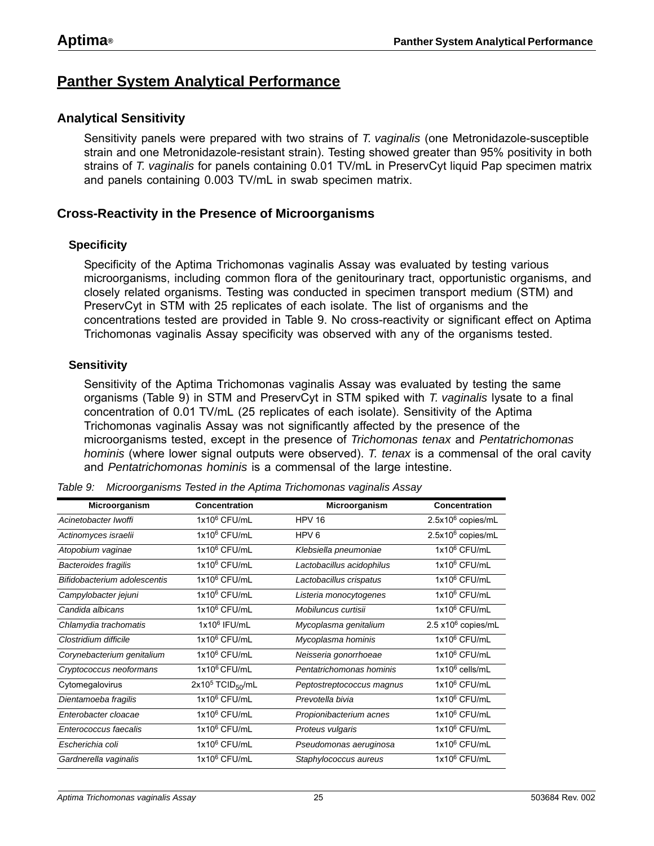### <span id="page-24-0"></span>**Panther System Analytical Performance**

### <span id="page-24-1"></span>**Analytical Sensitivity**

Sensitivity panels were prepared with two strains of *T. vaginalis* (one Metronidazole-susceptible strain and one Metronidazole-resistant strain). Testing showed greater than 95% positivity in both strains of *T. vaginalis* for panels containing 0.01 TV/mL in PreservCyt liquid Pap specimen matrix and panels containing 0.003 TV/mL in swab specimen matrix.

### <span id="page-24-2"></span>**Cross-Reactivity in the Presence of Microorganisms**

#### **Specificity**

Specificity of the Aptima Trichomonas vaginalis Assay was evaluated by testing various microorganisms, including common flora of the genitourinary tract, opportunistic organisms, and closely related organisms. Testing was conducted in specimen transport medium (STM) and PreservCyt in STM with 25 replicates of each isolate. The list of organisms and the concentrations tested are provided in Table [9](#page-24-3). No cross-reactivity or significant effect on Aptima Trichomonas vaginalis Assay specificity was observed with any of the organisms tested.

#### **Sensitivity**

Sensitivity of the Aptima Trichomonas vaginalis Assay was evaluated by testing the same organisms (Table [9\)](#page-24-3) in STM and PreservCyt in STM spiked with *T. vaginalis* lysate to a final concentration of 0.01 TV/mL (25 replicates of each isolate). Sensitivity of the Aptima Trichomonas vaginalis Assay was not significantly affected by the presence of the microorganisms tested, except in the presence of *Trichomonas tenax* and *Pentatrichomonas hominis* (where lower signal outputs were observed). *T. tenax* is a commensal of the oral cavity and *Pentatrichomonas hominis* is a commensal of the large intestine.

| Microorganism                | Concentration                  | Microorganism             | Concentration                 |  |  |
|------------------------------|--------------------------------|---------------------------|-------------------------------|--|--|
| Acinetobacter Iwoffi         | $1x10^6$ CFU/mL                | <b>HPV 16</b>             | $2.5x10^6$ copies/mL          |  |  |
| Actinomyces israelii         | $1x10^6$ CFU/mL                | HPV <sub>6</sub>          | 2.5x10 <sup>6</sup> copies/mL |  |  |
| Atopobium vaginae            | $1x10^6$ CFU/mL                | Klebsiella pneumoniae     | $1x10^6$ CFU/mL               |  |  |
| <b>Bacteroides fragilis</b>  | 1x10 <sup>6</sup> CFU/mL       | Lactobacillus acidophilus | $1x10^6$ CFU/mL               |  |  |
| Bifidobacterium adolescentis | $1x10^6$ CFU/mL                | Lactobacillus crispatus   | $1x10^6$ CFU/mL               |  |  |
| Campylobacter jejuni         | $1x10^6$ CFU/mL                | Listeria monocytogenes    | $1x10^6$ CFU/mL               |  |  |
| Candida albicans             | $1x10^6$ CFU/mL                | Mobiluncus curtisii       | $1x10^6$ CFU/mL               |  |  |
| Chlamydia trachomatis        | $1x10^6$ IFU/mL                | Mycoplasma genitalium     | $2.5 \times 10^6$ copies/mL   |  |  |
| Clostridium difficile        | $1x10^6$ CFU/mL                | Mycoplasma hominis        | $1x10^6$ CFU/mL               |  |  |
| Corynebacterium genitalium   | $1x10^6$ CFU/mL                | Neisseria gonorrhoeae     | $1x10^6$ CFU/mL               |  |  |
| Cryptococcus neoformans      | 1x10 <sup>6</sup> CFU/mL       | Pentatrichomonas hominis  | $1x10^6$ cells/mL             |  |  |
| Cytomegalovirus              | $2x105$ TCID <sub>50</sub> /mL | Peptostreptococcus magnus | $1x10^6$ CFU/mL               |  |  |
| Dientamoeba fragilis         | $1x10^6$ CFU/mL                | Prevotella bivia          | $1x10^6$ CFU/mL               |  |  |
| Enterobacter cloacae         | $1x10^6$ CFU/mL                | Propionibacterium acnes   | $1x10^6$ CFU/mL               |  |  |
| Enterococcus faecalis        | $1x10^6$ CFU/mL                | Proteus vulgaris          | $1x10^6$ CFU/mL               |  |  |
| Escherichia coli             | $1x10^6$ CFU/mL                | Pseudomonas aeruginosa    | 1x10 <sup>6</sup> CFU/mL      |  |  |
| Gardnerella vaginalis        | $1x10^6$ CFU/mL                | Staphylococcus aureus     | 1x10 <sup>6</sup> CFU/mL      |  |  |

<span id="page-24-3"></span>*Table 9: Microorganisms Tested in the Aptima Trichomonas vaginalis Assay*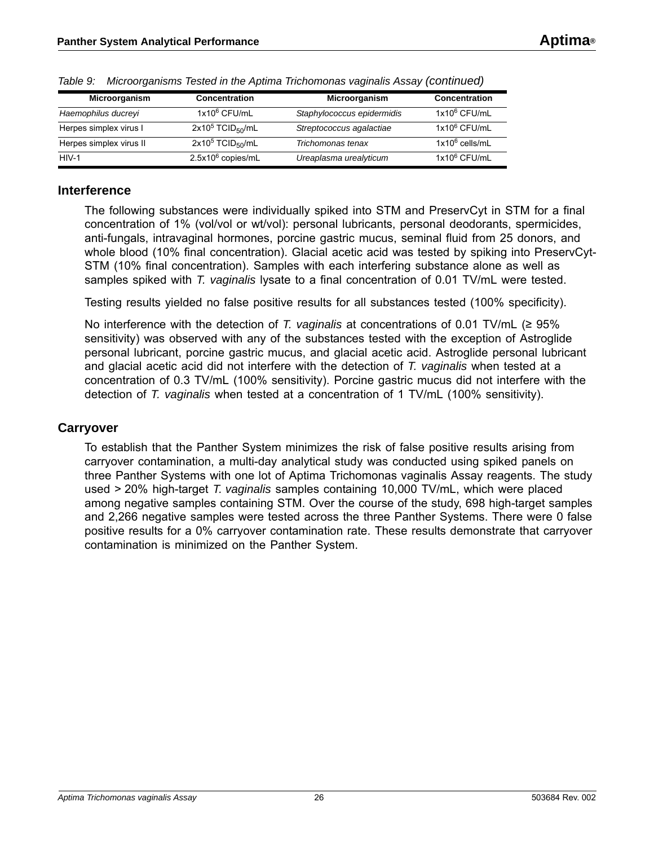| Microorganism           | <b>Concentration</b>            | Microorganism              | <b>Concentration</b> |
|-------------------------|---------------------------------|----------------------------|----------------------|
| Haemophilus ducreyi     | 1x10 <sup>6</sup> CFU/mL        | Staphylococcus epidermidis | $1x10^6$ CFU/mL      |
| Herpes simplex virus I  | $2x10^5$ TCID <sub>50</sub> /mL | Streptococcus agalactiae   | $1x10^6$ CFU/mL      |
| Herpes simplex virus II | $2x10^5$ TCID <sub>50</sub> /mL | Trichomonas tenax          | $1x10^6$ cells/mL    |
| $HIV-1$                 | $2.5x10^6$ copies/mL            | Ureaplasma urealyticum     | $1x10^6$ CFU/mL      |

*Table 9: Microorganisms Tested in the Aptima Trichomonas vaginalis Assay (continued)*

#### <span id="page-25-0"></span>**Interference**

The following substances were individually spiked into STM and PreservCyt in STM for a final concentration of 1% (vol/vol or wt/vol): personal lubricants, personal deodorants, spermicides, anti-fungals, intravaginal hormones, porcine gastric mucus, seminal fluid from 25 donors, and whole blood (10% final concentration). Glacial acetic acid was tested by spiking into PreservCyt-STM (10% final concentration). Samples with each interfering substance alone as well as samples spiked with *T. vaginalis* lysate to a final concentration of 0.01 TV/mL were tested.

Testing results yielded no false positive results for all substances tested (100% specificity).

No interference with the detection of *T. vaginalis* at concentrations of 0.01 TV/mL (≥ 95% sensitivity) was observed with any of the substances tested with the exception of Astroglide personal lubricant, porcine gastric mucus, and glacial acetic acid. Astroglide personal lubricant and glacial acetic acid did not interfere with the detection of *T. vaginalis* when tested at a concentration of 0.3 TV/mL (100% sensitivity). Porcine gastric mucus did not interfere with the detection of *T. vaginalis* when tested at a concentration of 1 TV/mL (100% sensitivity).

### <span id="page-25-1"></span>**Carryover**

To establish that the Panther System minimizes the risk of false positive results arising from carryover contamination, a multi-day analytical study was conducted using spiked panels on three Panther Systems with one lot of Aptima Trichomonas vaginalis Assay reagents. The study used > 20% high-target *T. vaginalis* samples containing 10,000 TV/mL, which were placed among negative samples containing STM. Over the course of the study, 698 high-target samples and 2,266 negative samples were tested across the three Panther Systems. There were 0 false positive results for a 0% carryover contamination rate. These results demonstrate that carryover contamination is minimized on the Panther System.